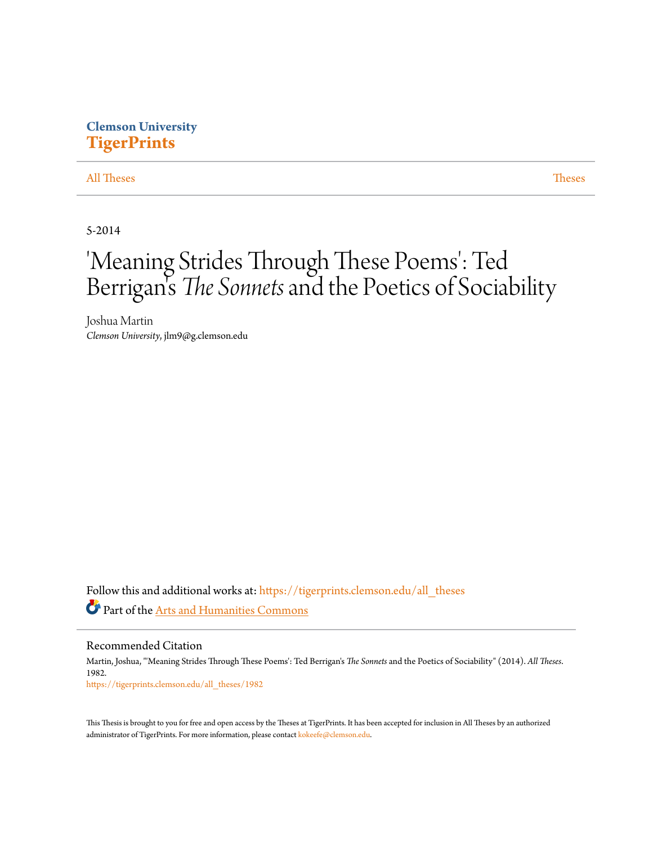# **Clemson University [TigerPrints](https://tigerprints.clemson.edu?utm_source=tigerprints.clemson.edu%2Fall_theses%2F1982&utm_medium=PDF&utm_campaign=PDFCoverPages)**

# [All Theses](https://tigerprints.clemson.edu/all_theses?utm_source=tigerprints.clemson.edu%2Fall_theses%2F1982&utm_medium=PDF&utm_campaign=PDFCoverPages) **[Theses](https://tigerprints.clemson.edu/theses?utm_source=tigerprints.clemson.edu%2Fall_theses%2F1982&utm_medium=PDF&utm_campaign=PDFCoverPages)**

5-2014

# 'Meaning Strides Through These Poems': Ted Berrigan 's *The Sonnets*and the Poetics of Sociability

Joshua Martin *Clemson University*, jlm9@g.clemson.edu

Follow this and additional works at: [https://tigerprints.clemson.edu/all\\_theses](https://tigerprints.clemson.edu/all_theses?utm_source=tigerprints.clemson.edu%2Fall_theses%2F1982&utm_medium=PDF&utm_campaign=PDFCoverPages) Part of the [Arts and Humanities Commons](http://network.bepress.com/hgg/discipline/438?utm_source=tigerprints.clemson.edu%2Fall_theses%2F1982&utm_medium=PDF&utm_campaign=PDFCoverPages)

Recommended Citation

Martin, Joshua, "'Meaning Strides Through These Poems': Ted Berrigan's *The Sonnets* and the Poetics of Sociability" (2014). *All Theses*. 1982. [https://tigerprints.clemson.edu/all\\_theses/1982](https://tigerprints.clemson.edu/all_theses/1982?utm_source=tigerprints.clemson.edu%2Fall_theses%2F1982&utm_medium=PDF&utm_campaign=PDFCoverPages)

This Thesis is brought to you for free and open access by the Theses at TigerPrints. It has been accepted for inclusion in All Theses by an authorized administrator of TigerPrints. For more information, please contact [kokeefe@clemson.edu](mailto:kokeefe@clemson.edu).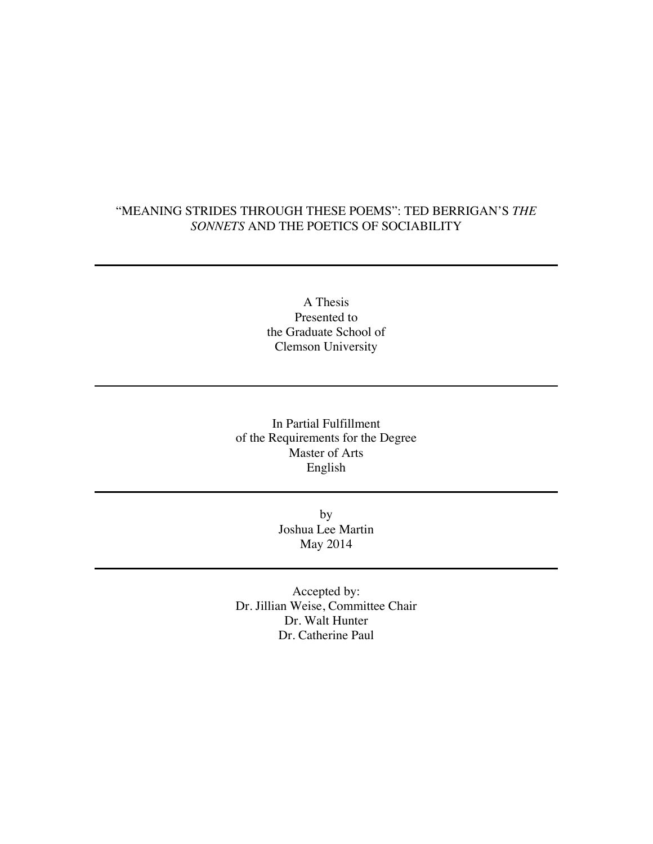# "MEANING STRIDES THROUGH THESE POEMS": TED BERRIGAN'S *THE SONNETS* AND THE POETICS OF SOCIABILITY

A Thesis Presented to the Graduate School of Clemson University

In Partial Fulfillment of the Requirements for the Degree Master of Arts English

> by Joshua Lee Martin May 2014

Accepted by: Dr. Jillian Weise, Committee Chair Dr. Walt Hunter Dr. Catherine Paul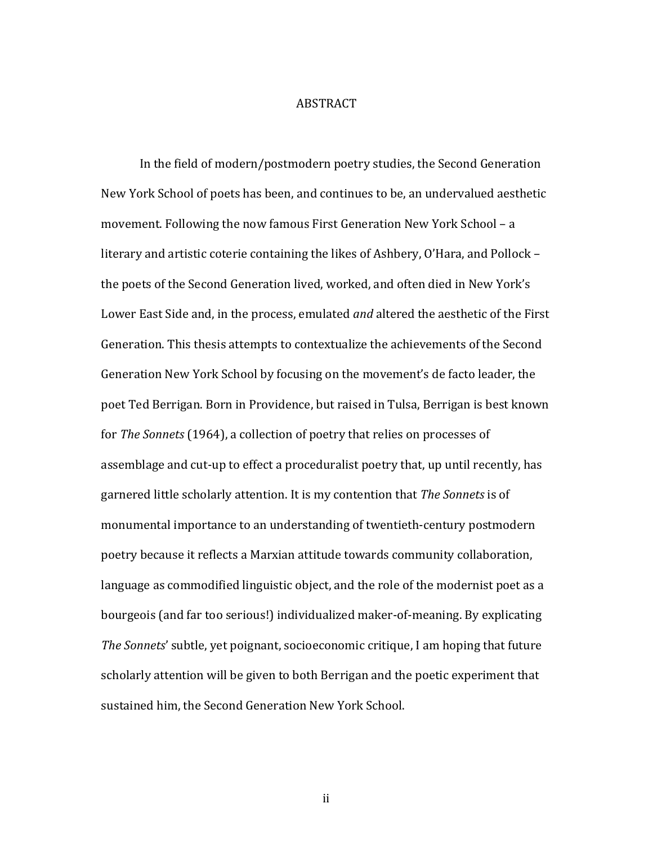#### ABSTRACT

In the field of modern/postmodern poetry studies, the Second Generation New York School of poets has been, and continues to be, an undervalued aesthetic movement. Following the now famous First Generation New York School – a literary and artistic coterie containing the likes of Ashbery, O'Hara, and Pollock – the poets of the Second Generation lived, worked, and often died in New York's Lower East Side and, in the process, emulated *and* altered the aesthetic of the First Generation. This thesis attempts to contextualize the achievements of the Second Generation New York School by focusing on the movement's de facto leader, the poet Ted Berrigan. Born in Providence, but raised in Tulsa, Berrigan is best known for *The Sonnets* (1964), a collection of poetry that relies on processes of assemblage and cut-up to effect a proceduralist poetry that, up until recently, has garnered little scholarly attention. It is my contention that *The Sonnets* is of monumental importance to an understanding of twentieth-century postmodern poetry because it reflects a Marxian attitude towards community collaboration, language as commodified linguistic object, and the role of the modernist poet as a bourgeois (and far too serious!) individualized maker-of-meaning. By explicating *The Sonnets'* subtle, yet poignant, socioeconomic critique, I am hoping that future scholarly attention will be given to both Berrigan and the poetic experiment that sustained him, the Second Generation New York School.

ii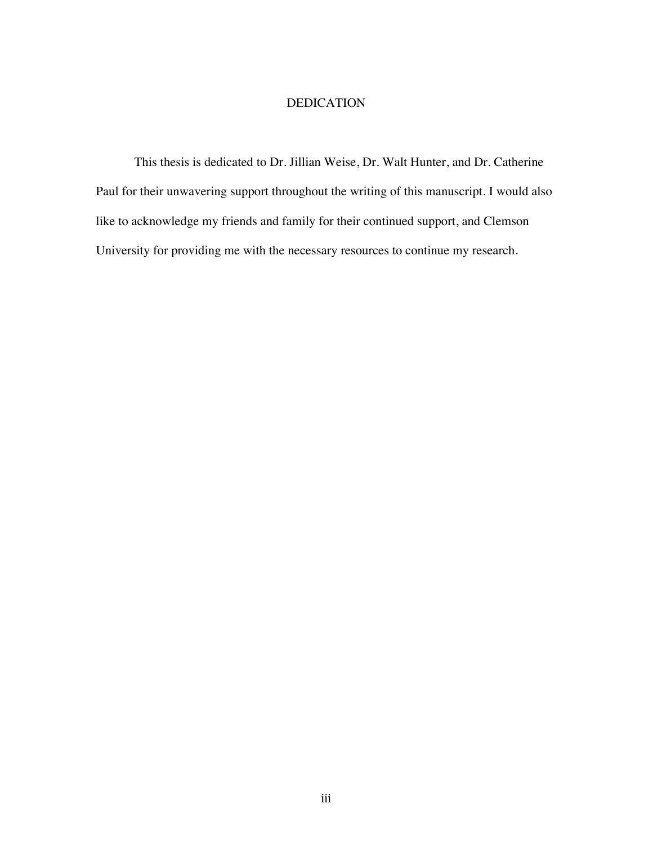## DEDICATION

This thesis is dedicated to Dr. Jillian Weise, Dr. Walt Hunter, and Dr. Catherine Paul for their unwavering support throughout the writing of this manuscript. I would also like to acknowledge my friends and family for their continued support, and Clemson University for providing me with the necessary resources to continue my research.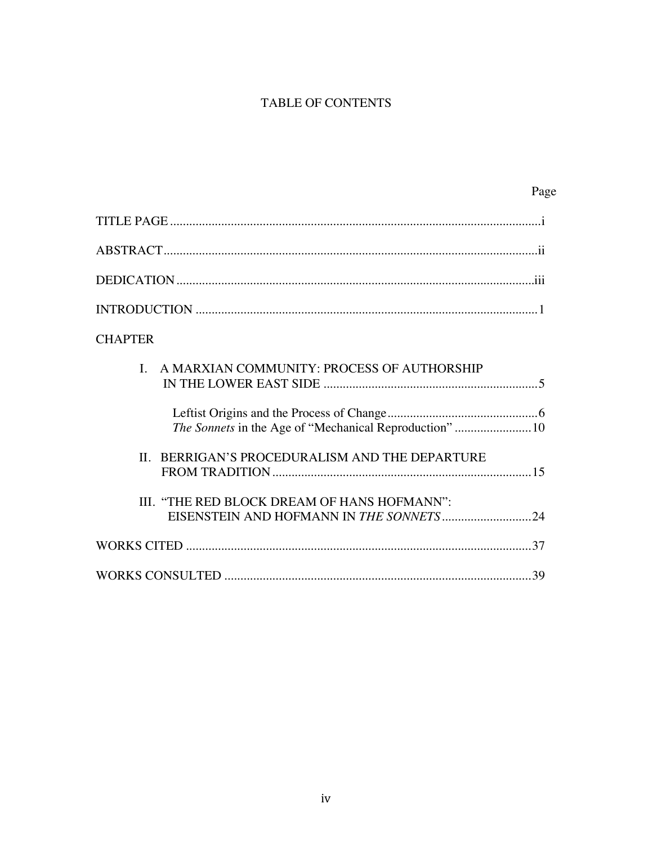# TABLE OF CONTENTS

| Page                                                         |
|--------------------------------------------------------------|
|                                                              |
|                                                              |
|                                                              |
|                                                              |
| <b>CHAPTER</b>                                               |
| A MARXIAN COMMUNITY: PROCESS OF AUTHORSHIP<br>$\mathbf{I}$ . |
| The Sonnets in the Age of "Mechanical Reproduction" 10       |
| II. BERRIGAN'S PROCEDURALISM AND THE DEPARTURE               |
| III. "THE RED BLOCK DREAM OF HANS HOFMANN":                  |
|                                                              |
|                                                              |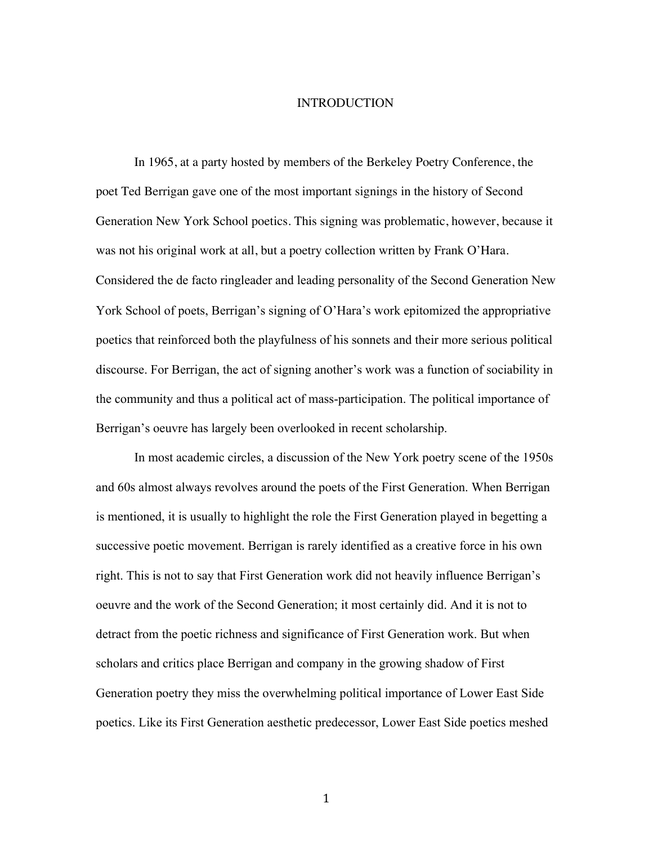### INTRODUCTION

In 1965, at a party hosted by members of the Berkeley Poetry Conference, the poet Ted Berrigan gave one of the most important signings in the history of Second Generation New York School poetics. This signing was problematic, however, because it was not his original work at all, but a poetry collection written by Frank O'Hara. Considered the de facto ringleader and leading personality of the Second Generation New York School of poets, Berrigan's signing of O'Hara's work epitomized the appropriative poetics that reinforced both the playfulness of his sonnets and their more serious political discourse. For Berrigan, the act of signing another's work was a function of sociability in the community and thus a political act of mass-participation. The political importance of Berrigan's oeuvre has largely been overlooked in recent scholarship.

In most academic circles, a discussion of the New York poetry scene of the 1950s and 60s almost always revolves around the poets of the First Generation. When Berrigan is mentioned, it is usually to highlight the role the First Generation played in begetting a successive poetic movement. Berrigan is rarely identified as a creative force in his own right. This is not to say that First Generation work did not heavily influence Berrigan's oeuvre and the work of the Second Generation; it most certainly did. And it is not to detract from the poetic richness and significance of First Generation work. But when scholars and critics place Berrigan and company in the growing shadow of First Generation poetry they miss the overwhelming political importance of Lower East Side poetics. Like its First Generation aesthetic predecessor, Lower East Side poetics meshed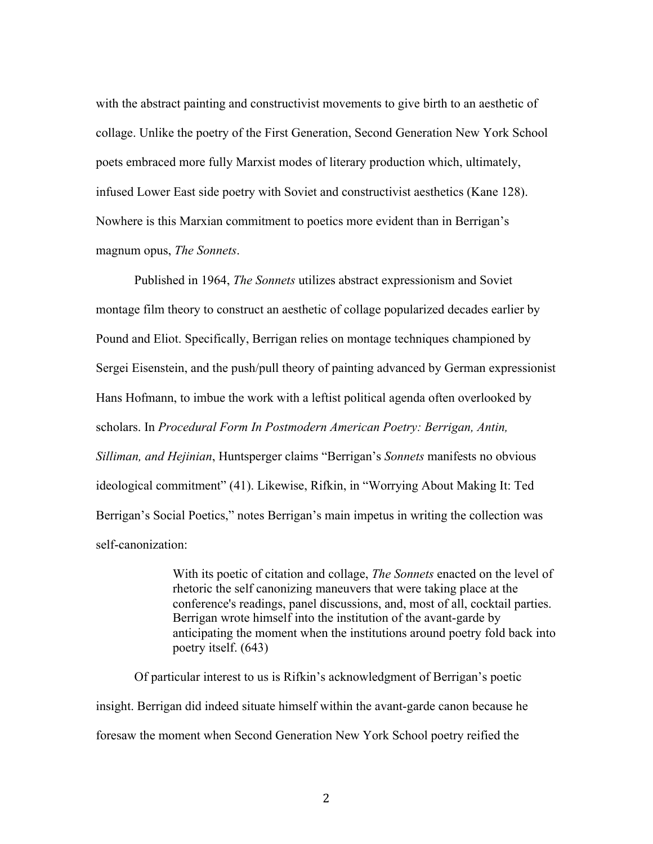with the abstract painting and constructivist movements to give birth to an aesthetic of collage. Unlike the poetry of the First Generation, Second Generation New York School poets embraced more fully Marxist modes of literary production which, ultimately, infused Lower East side poetry with Soviet and constructivist aesthetics (Kane 128). Nowhere is this Marxian commitment to poetics more evident than in Berrigan's magnum opus, *The Sonnets*.

Published in 1964, *The Sonnets* utilizes abstract expressionism and Soviet montage film theory to construct an aesthetic of collage popularized decades earlier by Pound and Eliot. Specifically, Berrigan relies on montage techniques championed by Sergei Eisenstein, and the push/pull theory of painting advanced by German expressionist Hans Hofmann, to imbue the work with a leftist political agenda often overlooked by scholars. In *Procedural Form In Postmodern American Poetry: Berrigan, Antin, Silliman, and Hejinian*, Huntsperger claims "Berrigan's *Sonnets* manifests no obvious ideological commitment" (41). Likewise, Rifkin, in "Worrying About Making It: Ted Berrigan's Social Poetics," notes Berrigan's main impetus in writing the collection was self-canonization:

> With its poetic of citation and collage, *The Sonnets* enacted on the level of rhetoric the self canonizing maneuvers that were taking place at the conference's readings, panel discussions, and, most of all, cocktail parties. Berrigan wrote himself into the institution of the avant-garde by anticipating the moment when the institutions around poetry fold back into poetry itself. (643)

Of particular interest to us is Rifkin's acknowledgment of Berrigan's poetic insight. Berrigan did indeed situate himself within the avant-garde canon because he foresaw the moment when Second Generation New York School poetry reified the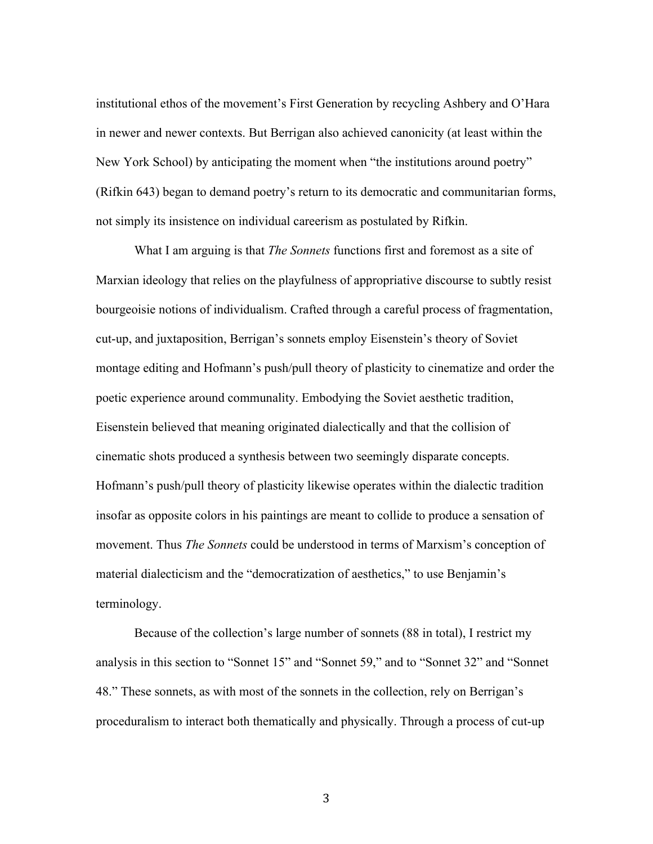institutional ethos of the movement's First Generation by recycling Ashbery and O'Hara in newer and newer contexts. But Berrigan also achieved canonicity (at least within the New York School) by anticipating the moment when "the institutions around poetry" (Rifkin 643) began to demand poetry's return to its democratic and communitarian forms, not simply its insistence on individual careerism as postulated by Rifkin.

What I am arguing is that *The Sonnets* functions first and foremost as a site of Marxian ideology that relies on the playfulness of appropriative discourse to subtly resist bourgeoisie notions of individualism. Crafted through a careful process of fragmentation, cut-up, and juxtaposition, Berrigan's sonnets employ Eisenstein's theory of Soviet montage editing and Hofmann's push/pull theory of plasticity to cinematize and order the poetic experience around communality. Embodying the Soviet aesthetic tradition, Eisenstein believed that meaning originated dialectically and that the collision of cinematic shots produced a synthesis between two seemingly disparate concepts. Hofmann's push/pull theory of plasticity likewise operates within the dialectic tradition insofar as opposite colors in his paintings are meant to collide to produce a sensation of movement. Thus *The Sonnets* could be understood in terms of Marxism's conception of material dialecticism and the "democratization of aesthetics," to use Benjamin's terminology.

Because of the collection's large number of sonnets (88 in total), I restrict my analysis in this section to "Sonnet 15" and "Sonnet 59," and to "Sonnet 32" and "Sonnet 48." These sonnets, as with most of the sonnets in the collection, rely on Berrigan's proceduralism to interact both thematically and physically. Through a process of cut-up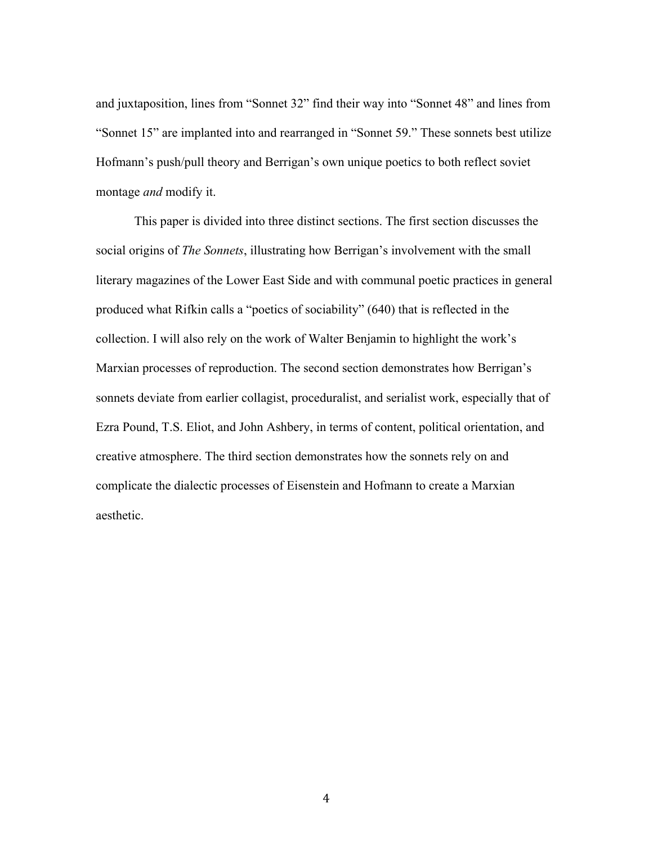and juxtaposition, lines from "Sonnet 32" find their way into "Sonnet 48" and lines from "Sonnet 15" are implanted into and rearranged in "Sonnet 59." These sonnets best utilize Hofmann's push/pull theory and Berrigan's own unique poetics to both reflect soviet montage *and* modify it.

This paper is divided into three distinct sections. The first section discusses the social origins of *The Sonnets*, illustrating how Berrigan's involvement with the small literary magazines of the Lower East Side and with communal poetic practices in general produced what Rifkin calls a "poetics of sociability" (640) that is reflected in the collection. I will also rely on the work of Walter Benjamin to highlight the work's Marxian processes of reproduction. The second section demonstrates how Berrigan's sonnets deviate from earlier collagist, proceduralist, and serialist work, especially that of Ezra Pound, T.S. Eliot, and John Ashbery, in terms of content, political orientation, and creative atmosphere. The third section demonstrates how the sonnets rely on and complicate the dialectic processes of Eisenstein and Hofmann to create a Marxian aesthetic.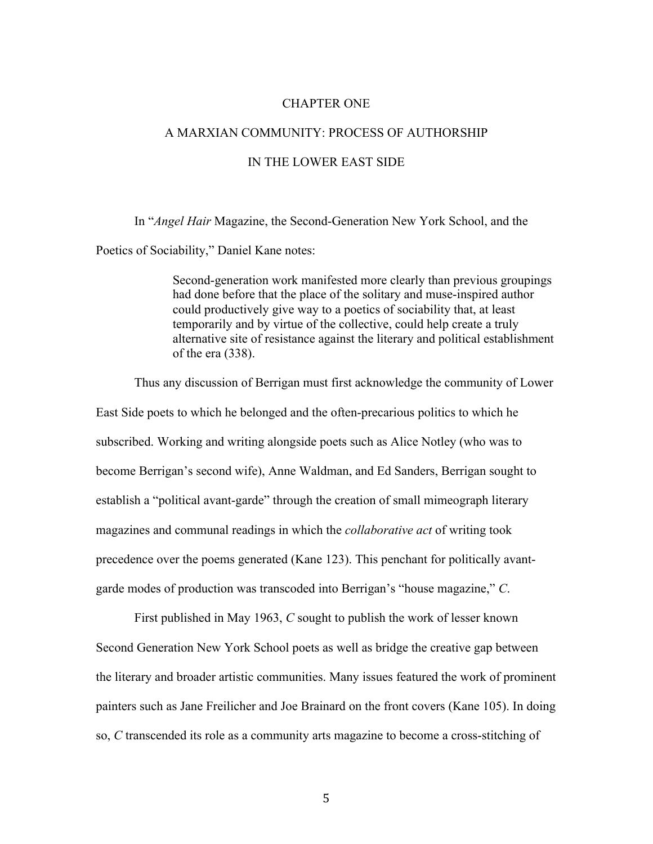#### CHAPTER ONE

## A MARXIAN COMMUNITY: PROCESS OF AUTHORSHIP

## IN THE LOWER EAST SIDE

In "*Angel Hair* Magazine, the Second-Generation New York School, and the Poetics of Sociability," Daniel Kane notes:

> Second-generation work manifested more clearly than previous groupings had done before that the place of the solitary and muse-inspired author could productively give way to a poetics of sociability that, at least temporarily and by virtue of the collective, could help create a truly alternative site of resistance against the literary and political establishment of the era (338).

Thus any discussion of Berrigan must first acknowledge the community of Lower East Side poets to which he belonged and the often-precarious politics to which he subscribed. Working and writing alongside poets such as Alice Notley (who was to become Berrigan's second wife), Anne Waldman, and Ed Sanders, Berrigan sought to establish a "political avant-garde" through the creation of small mimeograph literary magazines and communal readings in which the *collaborative act* of writing took precedence over the poems generated (Kane 123). This penchant for politically avantgarde modes of production was transcoded into Berrigan's "house magazine," *C*.

First published in May 1963, *C* sought to publish the work of lesser known Second Generation New York School poets as well as bridge the creative gap between the literary and broader artistic communities. Many issues featured the work of prominent painters such as Jane Freilicher and Joe Brainard on the front covers (Kane 105). In doing so, *C* transcended its role as a community arts magazine to become a cross-stitching of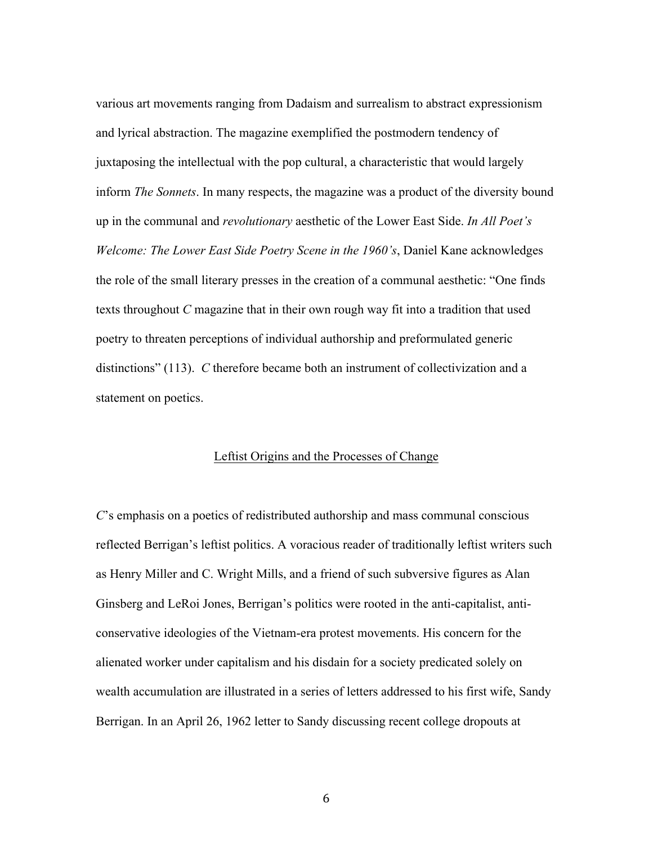various art movements ranging from Dadaism and surrealism to abstract expressionism and lyrical abstraction. The magazine exemplified the postmodern tendency of juxtaposing the intellectual with the pop cultural, a characteristic that would largely inform *The Sonnets*. In many respects, the magazine was a product of the diversity bound up in the communal and *revolutionary* aesthetic of the Lower East Side. *In All Poet's Welcome: The Lower East Side Poetry Scene in the 1960's*, Daniel Kane acknowledges the role of the small literary presses in the creation of a communal aesthetic: "One finds texts throughout *C* magazine that in their own rough way fit into a tradition that used poetry to threaten perceptions of individual authorship and preformulated generic distinctions" (113). *C* therefore became both an instrument of collectivization and a statement on poetics.

## Leftist Origins and the Processes of Change

*C*'s emphasis on a poetics of redistributed authorship and mass communal conscious reflected Berrigan's leftist politics. A voracious reader of traditionally leftist writers such as Henry Miller and C. Wright Mills, and a friend of such subversive figures as Alan Ginsberg and LeRoi Jones, Berrigan's politics were rooted in the anti-capitalist, anticonservative ideologies of the Vietnam-era protest movements. His concern for the alienated worker under capitalism and his disdain for a society predicated solely on wealth accumulation are illustrated in a series of letters addressed to his first wife, Sandy Berrigan. In an April 26, 1962 letter to Sandy discussing recent college dropouts at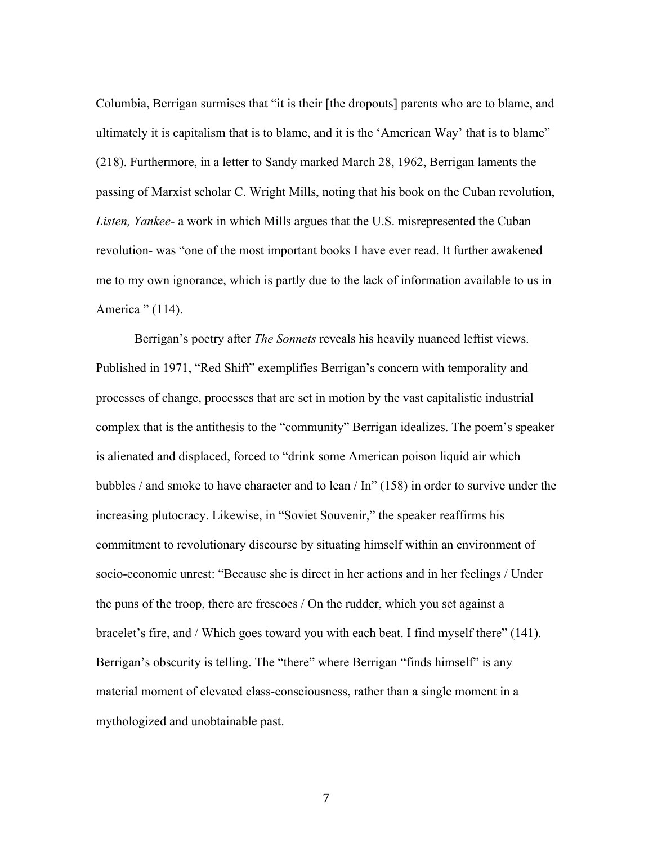Columbia, Berrigan surmises that "it is their [the dropouts] parents who are to blame, and ultimately it is capitalism that is to blame, and it is the 'American Way' that is to blame" (218). Furthermore, in a letter to Sandy marked March 28, 1962, Berrigan laments the passing of Marxist scholar C. Wright Mills, noting that his book on the Cuban revolution, *Listen, Yankee*- a work in which Mills argues that the U.S. misrepresented the Cuban revolution- was "one of the most important books I have ever read. It further awakened me to my own ignorance, which is partly due to the lack of information available to us in America " (114).

Berrigan's poetry after *The Sonnets* reveals his heavily nuanced leftist views. Published in 1971, "Red Shift" exemplifies Berrigan's concern with temporality and processes of change, processes that are set in motion by the vast capitalistic industrial complex that is the antithesis to the "community" Berrigan idealizes. The poem's speaker is alienated and displaced, forced to "drink some American poison liquid air which bubbles / and smoke to have character and to lean / In" (158) in order to survive under the increasing plutocracy. Likewise, in "Soviet Souvenir," the speaker reaffirms his commitment to revolutionary discourse by situating himself within an environment of socio-economic unrest: "Because she is direct in her actions and in her feelings / Under the puns of the troop, there are frescoes / On the rudder, which you set against a bracelet's fire, and / Which goes toward you with each beat. I find myself there" (141). Berrigan's obscurity is telling. The "there" where Berrigan "finds himself" is any material moment of elevated class-consciousness, rather than a single moment in a mythologized and unobtainable past.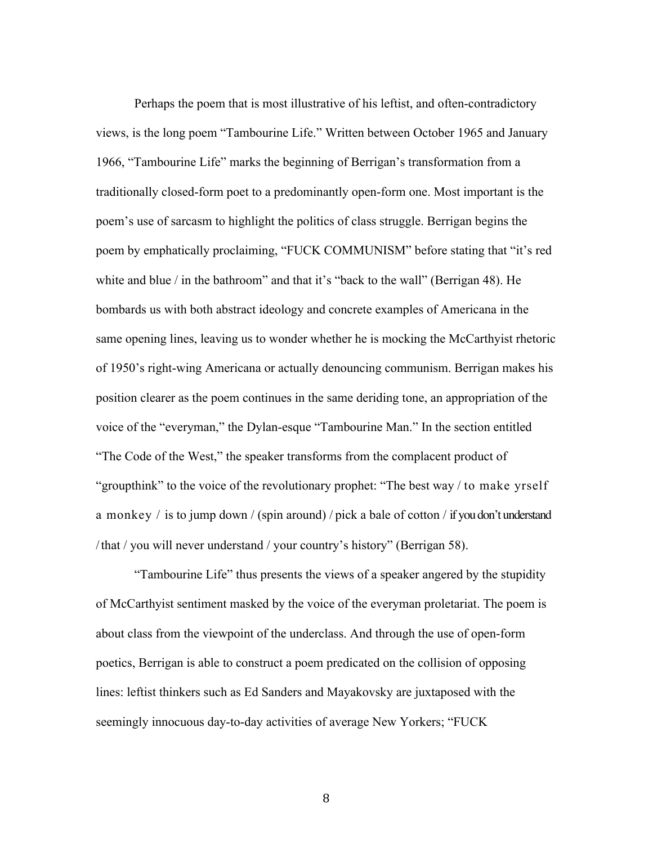Perhaps the poem that is most illustrative of his leftist, and often-contradictory views, is the long poem "Tambourine Life." Written between October 1965 and January 1966, "Tambourine Life" marks the beginning of Berrigan's transformation from a traditionally closed-form poet to a predominantly open-form one. Most important is the poem's use of sarcasm to highlight the politics of class struggle. Berrigan begins the poem by emphatically proclaiming, "FUCK COMMUNISM" before stating that "it's red white and blue / in the bathroom" and that it's "back to the wall" (Berrigan 48). He bombards us with both abstract ideology and concrete examples of Americana in the same opening lines, leaving us to wonder whether he is mocking the McCarthyist rhetoric of 1950's right-wing Americana or actually denouncing communism. Berrigan makes his position clearer as the poem continues in the same deriding tone, an appropriation of the voice of the "everyman," the Dylan-esque "Tambourine Man." In the section entitled "The Code of the West," the speaker transforms from the complacent product of "groupthink" to the voice of the revolutionary prophet: "The best way / to make yrself a monkey / is to jump down / (spin around) / pick a bale of cotton / if you don't understand / that / you will never understand / your country's history" (Berrigan 58).

"Tambourine Life" thus presents the views of a speaker angered by the stupidity of McCarthyist sentiment masked by the voice of the everyman proletariat. The poem is about class from the viewpoint of the underclass. And through the use of open-form poetics, Berrigan is able to construct a poem predicated on the collision of opposing lines: leftist thinkers such as Ed Sanders and Mayakovsky are juxtaposed with the seemingly innocuous day-to-day activities of average New Yorkers; "FUCK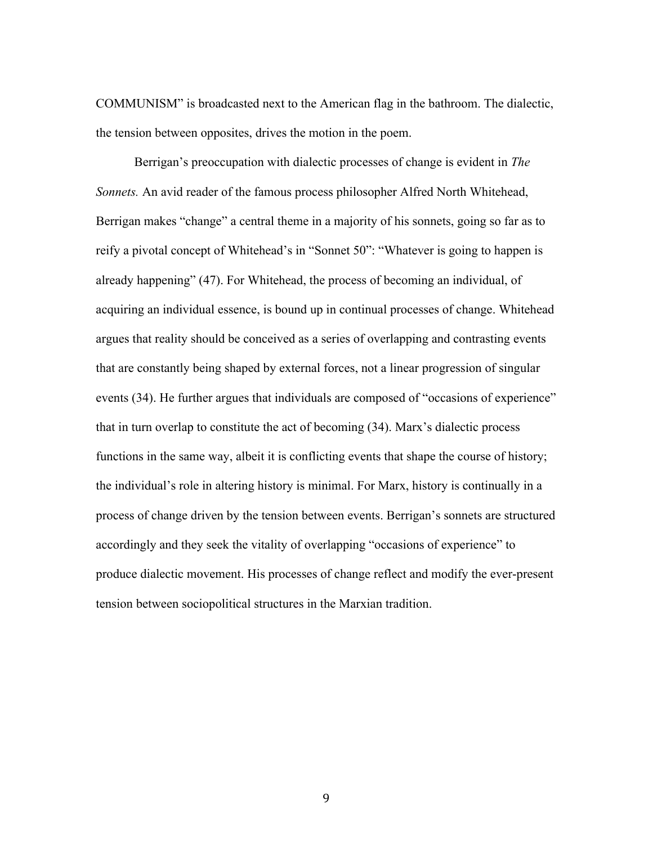COMMUNISM" is broadcasted next to the American flag in the bathroom. The dialectic, the tension between opposites, drives the motion in the poem.

Berrigan's preoccupation with dialectic processes of change is evident in *The Sonnets.* An avid reader of the famous process philosopher Alfred North Whitehead, Berrigan makes "change" a central theme in a majority of his sonnets, going so far as to reify a pivotal concept of Whitehead's in "Sonnet 50": "Whatever is going to happen is already happening" (47). For Whitehead, the process of becoming an individual, of acquiring an individual essence, is bound up in continual processes of change. Whitehead argues that reality should be conceived as a series of overlapping and contrasting events that are constantly being shaped by external forces, not a linear progression of singular events (34). He further argues that individuals are composed of "occasions of experience" that in turn overlap to constitute the act of becoming (34). Marx's dialectic process functions in the same way, albeit it is conflicting events that shape the course of history; the individual's role in altering history is minimal. For Marx, history is continually in a process of change driven by the tension between events. Berrigan's sonnets are structured accordingly and they seek the vitality of overlapping "occasions of experience" to produce dialectic movement. His processes of change reflect and modify the ever-present tension between sociopolitical structures in the Marxian tradition.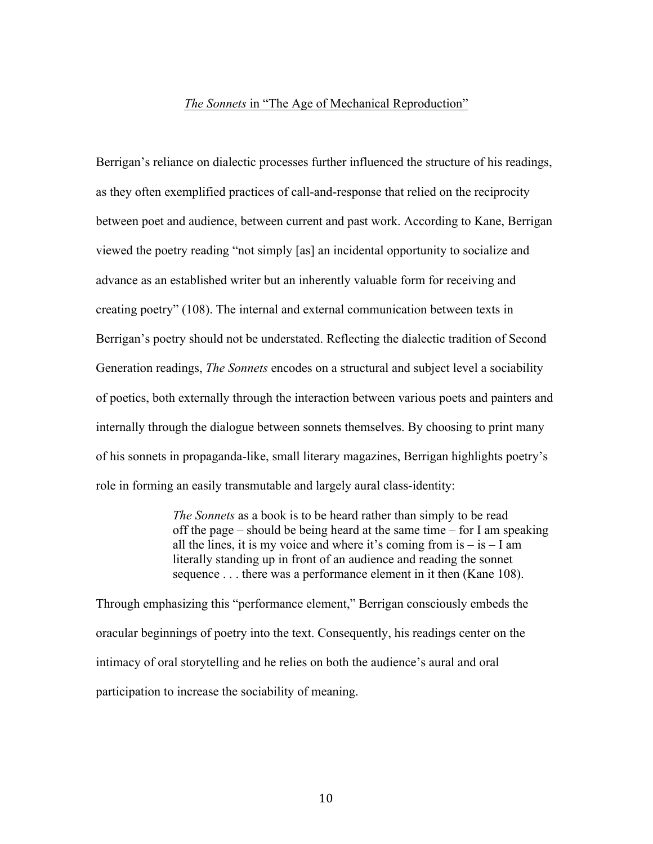#### *The Sonnets* in "The Age of Mechanical Reproduction"

Berrigan's reliance on dialectic processes further influenced the structure of his readings, as they often exemplified practices of call-and-response that relied on the reciprocity between poet and audience, between current and past work. According to Kane, Berrigan viewed the poetry reading "not simply [as] an incidental opportunity to socialize and advance as an established writer but an inherently valuable form for receiving and creating poetry" (108). The internal and external communication between texts in Berrigan's poetry should not be understated. Reflecting the dialectic tradition of Second Generation readings, *The Sonnets* encodes on a structural and subject level a sociability of poetics, both externally through the interaction between various poets and painters and internally through the dialogue between sonnets themselves. By choosing to print many of his sonnets in propaganda-like, small literary magazines, Berrigan highlights poetry's role in forming an easily transmutable and largely aural class-identity:

> *The Sonnets* as a book is to be heard rather than simply to be read off the page – should be being heard at the same time – for I am speaking all the lines, it is my voice and where it's coming from  $is - is - I$  am literally standing up in front of an audience and reading the sonnet sequence . . . there was a performance element in it then (Kane 108).

Through emphasizing this "performance element," Berrigan consciously embeds the oracular beginnings of poetry into the text. Consequently, his readings center on the intimacy of oral storytelling and he relies on both the audience's aural and oral participation to increase the sociability of meaning.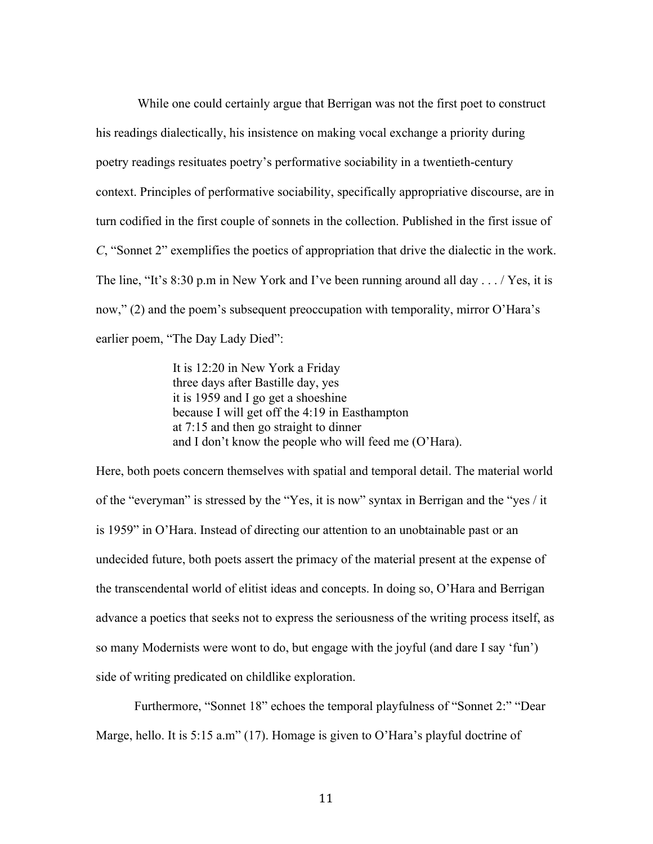While one could certainly argue that Berrigan was not the first poet to construct his readings dialectically, his insistence on making vocal exchange a priority during poetry readings resituates poetry's performative sociability in a twentieth-century context. Principles of performative sociability, specifically appropriative discourse, are in turn codified in the first couple of sonnets in the collection. Published in the first issue of *C*, "Sonnet 2" exemplifies the poetics of appropriation that drive the dialectic in the work. The line, "It's 8:30 p.m in New York and I've been running around all day . . . / Yes, it is now," (2) and the poem's subsequent preoccupation with temporality, mirror O'Hara's earlier poem, "The Day Lady Died":

> It is 12:20 in New York a Friday three days after Bastille day, yes it is 1959 and I go get a shoeshine because I will get off the 4:19 in Easthampton at 7:15 and then go straight to dinner and I don't know the people who will feed me (O'Hara).

Here, both poets concern themselves with spatial and temporal detail. The material world of the "everyman" is stressed by the "Yes, it is now" syntax in Berrigan and the "yes / it is 1959" in O'Hara. Instead of directing our attention to an unobtainable past or an undecided future, both poets assert the primacy of the material present at the expense of the transcendental world of elitist ideas and concepts. In doing so, O'Hara and Berrigan advance a poetics that seeks not to express the seriousness of the writing process itself, as so many Modernists were wont to do, but engage with the joyful (and dare I say 'fun') side of writing predicated on childlike exploration.

Furthermore, "Sonnet 18" echoes the temporal playfulness of "Sonnet 2:" "Dear Marge, hello. It is 5:15 a.m" (17). Homage is given to O'Hara's playful doctrine of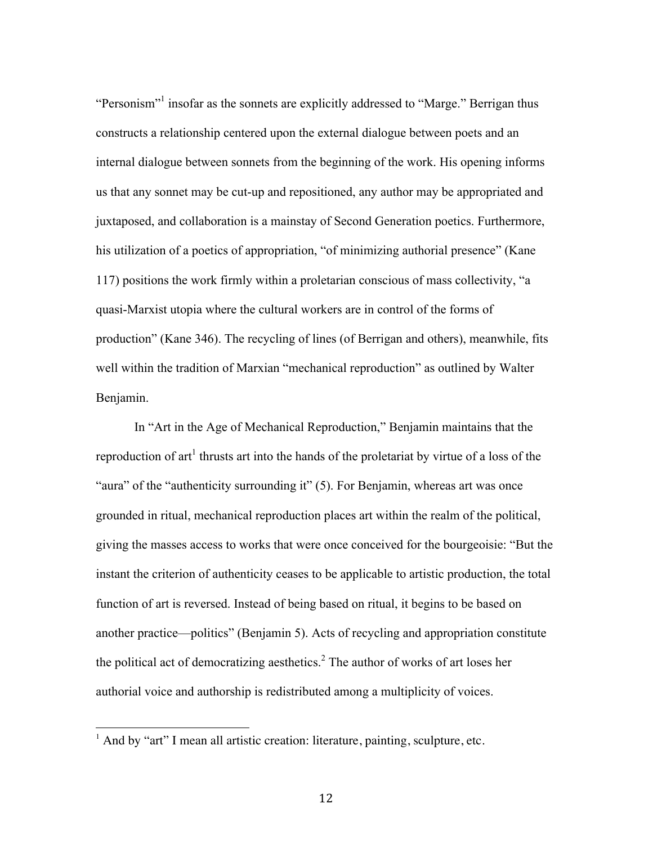"Personism"<sup>1</sup> insofar as the sonnets are explicitly addressed to "Marge." Berrigan thus constructs a relationship centered upon the external dialogue between poets and an internal dialogue between sonnets from the beginning of the work. His opening informs us that any sonnet may be cut-up and repositioned, any author may be appropriated and juxtaposed, and collaboration is a mainstay of Second Generation poetics. Furthermore, his utilization of a poetics of appropriation, "of minimizing authorial presence" (Kane 117) positions the work firmly within a proletarian conscious of mass collectivity, "a quasi-Marxist utopia where the cultural workers are in control of the forms of production" (Kane 346). The recycling of lines (of Berrigan and others), meanwhile, fits well within the tradition of Marxian "mechanical reproduction" as outlined by Walter Benjamin.

In "Art in the Age of Mechanical Reproduction," Benjamin maintains that the reproduction of art<sup>1</sup> thrusts art into the hands of the proletariat by virtue of a loss of the "aura" of the "authenticity surrounding it" (5). For Benjamin, whereas art was once grounded in ritual, mechanical reproduction places art within the realm of the political, giving the masses access to works that were once conceived for the bourgeoisie: "But the instant the criterion of authenticity ceases to be applicable to artistic production, the total function of art is reversed. Instead of being based on ritual, it begins to be based on another practice—politics" (Benjamin 5). Acts of recycling and appropriation constitute the political act of democratizing aesthetics. <sup>2</sup> The author of works of art loses her authorial voice and authorship is redistributed among a multiplicity of voices.

!!!!!!!!!!!!!!!!!!!!!!!!!!!!!!!!!!!!!!!!!!!!!!!!!!!!!!!

 $<sup>1</sup>$  And by "art" I mean all artistic creation: literature, painting, sculpture, etc.</sup>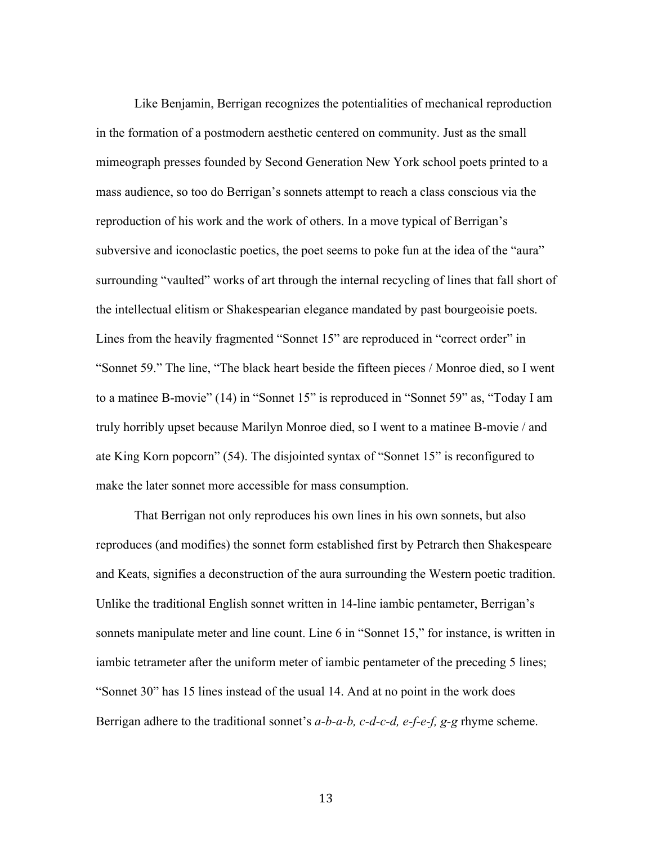Like Benjamin, Berrigan recognizes the potentialities of mechanical reproduction in the formation of a postmodern aesthetic centered on community. Just as the small mimeograph presses founded by Second Generation New York school poets printed to a mass audience, so too do Berrigan's sonnets attempt to reach a class conscious via the reproduction of his work and the work of others. In a move typical of Berrigan's subversive and iconoclastic poetics, the poet seems to poke fun at the idea of the "aura" surrounding "vaulted" works of art through the internal recycling of lines that fall short of the intellectual elitism or Shakespearian elegance mandated by past bourgeoisie poets. Lines from the heavily fragmented "Sonnet 15" are reproduced in "correct order" in "Sonnet 59." The line, "The black heart beside the fifteen pieces / Monroe died, so I went to a matinee B-movie" (14) in "Sonnet 15" is reproduced in "Sonnet 59" as, "Today I am truly horribly upset because Marilyn Monroe died, so I went to a matinee B-movie / and ate King Korn popcorn" (54). The disjointed syntax of "Sonnet 15" is reconfigured to make the later sonnet more accessible for mass consumption.

That Berrigan not only reproduces his own lines in his own sonnets, but also reproduces (and modifies) the sonnet form established first by Petrarch then Shakespeare and Keats, signifies a deconstruction of the aura surrounding the Western poetic tradition. Unlike the traditional English sonnet written in 14-line iambic pentameter, Berrigan's sonnets manipulate meter and line count. Line 6 in "Sonnet 15," for instance, is written in iambic tetrameter after the uniform meter of iambic pentameter of the preceding 5 lines; "Sonnet 30" has 15 lines instead of the usual 14. And at no point in the work does Berrigan adhere to the traditional sonnet's *a-b-a-b, c-d-c-d, e-f-e-f, g-g* rhyme scheme.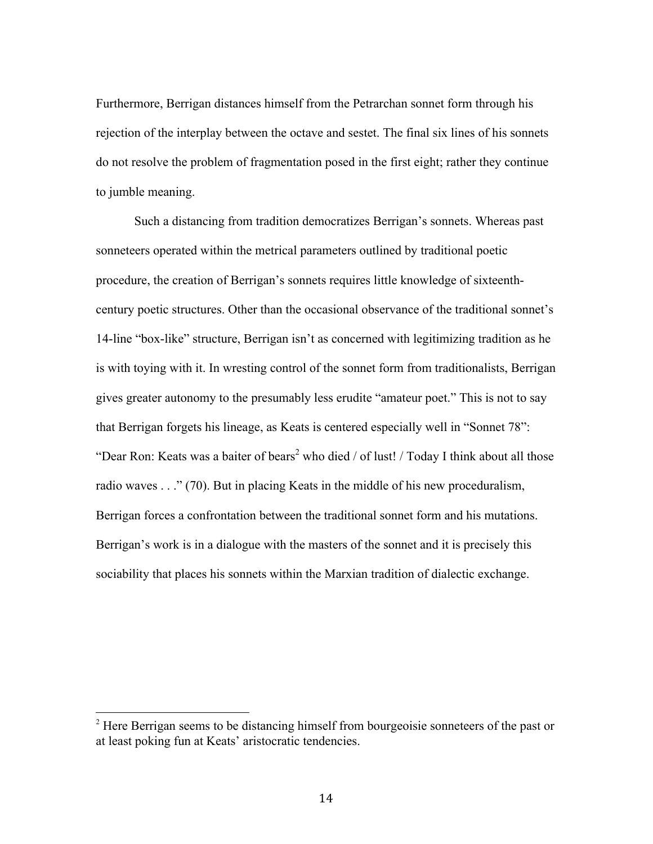Furthermore, Berrigan distances himself from the Petrarchan sonnet form through his rejection of the interplay between the octave and sestet. The final six lines of his sonnets do not resolve the problem of fragmentation posed in the first eight; rather they continue to jumble meaning.

Such a distancing from tradition democratizes Berrigan's sonnets. Whereas past sonneteers operated within the metrical parameters outlined by traditional poetic procedure, the creation of Berrigan's sonnets requires little knowledge of sixteenthcentury poetic structures. Other than the occasional observance of the traditional sonnet's 14-line "box-like" structure, Berrigan isn't as concerned with legitimizing tradition as he is with toying with it. In wresting control of the sonnet form from traditionalists, Berrigan gives greater autonomy to the presumably less erudite "amateur poet." This is not to say that Berrigan forgets his lineage, as Keats is centered especially well in "Sonnet 78": "Dear Ron: Keats was a baiter of bears<sup>2</sup> who died / of lust! / Today I think about all those radio waves . . ." (70). But in placing Keats in the middle of his new proceduralism, Berrigan forces a confrontation between the traditional sonnet form and his mutations. Berrigan's work is in a dialogue with the masters of the sonnet and it is precisely this sociability that places his sonnets within the Marxian tradition of dialectic exchange.

!!!!!!!!!!!!!!!!!!!!!!!!!!!!!!!!!!!!!!!!!!!!!!!!!!!!!!!

 $2<sup>2</sup>$  Here Berrigan seems to be distancing himself from bourgeoisie sonneteers of the past or at least poking fun at Keats' aristocratic tendencies.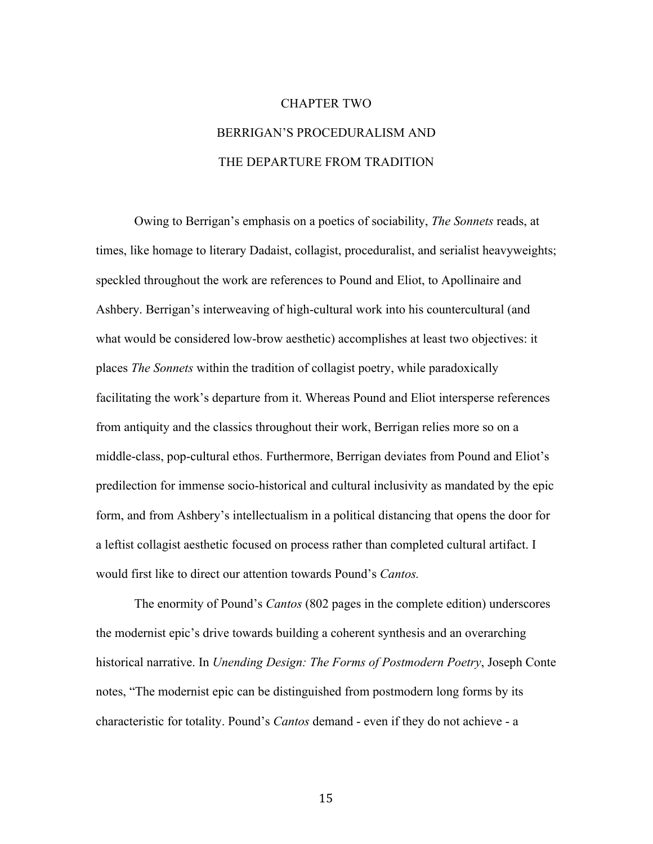# CHAPTER TWO BERRIGAN'S PROCEDURALISM AND THE DEPARTURE FROM TRADITION

Owing to Berrigan's emphasis on a poetics of sociability, *The Sonnets* reads, at times, like homage to literary Dadaist, collagist, proceduralist, and serialist heavyweights; speckled throughout the work are references to Pound and Eliot, to Apollinaire and Ashbery. Berrigan's interweaving of high-cultural work into his countercultural (and what would be considered low-brow aesthetic) accomplishes at least two objectives: it places *The Sonnets* within the tradition of collagist poetry, while paradoxically facilitating the work's departure from it. Whereas Pound and Eliot intersperse references from antiquity and the classics throughout their work, Berrigan relies more so on a middle-class, pop-cultural ethos. Furthermore, Berrigan deviates from Pound and Eliot's predilection for immense socio-historical and cultural inclusivity as mandated by the epic form, and from Ashbery's intellectualism in a political distancing that opens the door for a leftist collagist aesthetic focused on process rather than completed cultural artifact. I would first like to direct our attention towards Pound's *Cantos.*

The enormity of Pound's *Cantos* (802 pages in the complete edition) underscores the modernist epic's drive towards building a coherent synthesis and an overarching historical narrative. In *Unending Design: The Forms of Postmodern Poetry*, Joseph Conte notes, "The modernist epic can be distinguished from postmodern long forms by its characteristic for totality. Pound's *Cantos* demand - even if they do not achieve - a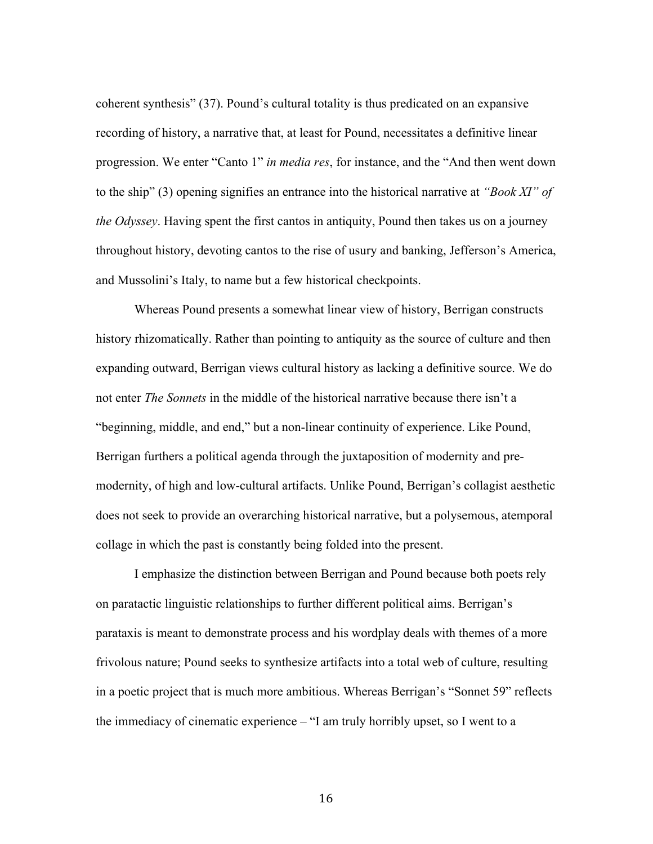coherent synthesis" (37). Pound's cultural totality is thus predicated on an expansive recording of history, a narrative that, at least for Pound, necessitates a definitive linear progression. We enter "Canto 1" *in media res*, for instance, and the "And then went down to the ship" (3) opening signifies an entrance into the historical narrative at *"Book XI" of the Odyssey*. Having spent the first cantos in antiquity, Pound then takes us on a journey throughout history, devoting cantos to the rise of usury and banking, Jefferson's America, and Mussolini's Italy, to name but a few historical checkpoints.

Whereas Pound presents a somewhat linear view of history, Berrigan constructs history rhizomatically. Rather than pointing to antiquity as the source of culture and then expanding outward, Berrigan views cultural history as lacking a definitive source. We do not enter *The Sonnets* in the middle of the historical narrative because there isn't a "beginning, middle, and end," but a non-linear continuity of experience. Like Pound, Berrigan furthers a political agenda through the juxtaposition of modernity and premodernity, of high and low-cultural artifacts. Unlike Pound, Berrigan's collagist aesthetic does not seek to provide an overarching historical narrative, but a polysemous, atemporal collage in which the past is constantly being folded into the present.

I emphasize the distinction between Berrigan and Pound because both poets rely on paratactic linguistic relationships to further different political aims. Berrigan's parataxis is meant to demonstrate process and his wordplay deals with themes of a more frivolous nature; Pound seeks to synthesize artifacts into a total web of culture, resulting in a poetic project that is much more ambitious. Whereas Berrigan's "Sonnet 59" reflects the immediacy of cinematic experience – "I am truly horribly upset, so I went to a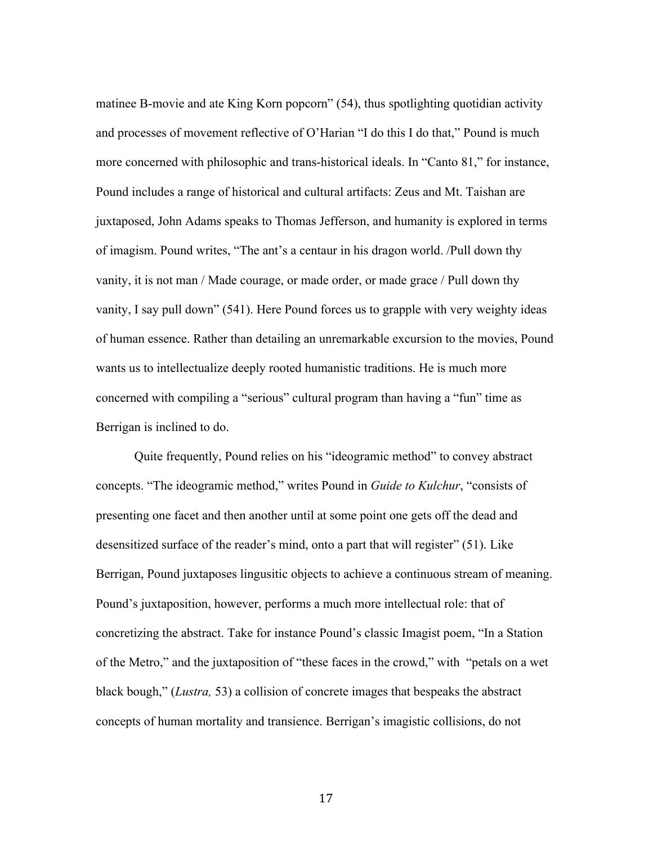matinee B-movie and ate King Korn popcorn" (54), thus spotlighting quotidian activity and processes of movement reflective of O'Harian "I do this I do that," Pound is much more concerned with philosophic and trans-historical ideals. In "Canto 81," for instance, Pound includes a range of historical and cultural artifacts: Zeus and Mt. Taishan are juxtaposed, John Adams speaks to Thomas Jefferson, and humanity is explored in terms of imagism. Pound writes, "The ant's a centaur in his dragon world. /Pull down thy vanity, it is not man / Made courage, or made order, or made grace / Pull down thy vanity, I say pull down" (541). Here Pound forces us to grapple with very weighty ideas of human essence. Rather than detailing an unremarkable excursion to the movies, Pound wants us to intellectualize deeply rooted humanistic traditions. He is much more concerned with compiling a "serious" cultural program than having a "fun" time as Berrigan is inclined to do.

Quite frequently, Pound relies on his "ideogramic method" to convey abstract concepts. "The ideogramic method," writes Pound in *Guide to Kulchur*, "consists of presenting one facet and then another until at some point one gets off the dead and desensitized surface of the reader's mind, onto a part that will register" (51). Like Berrigan, Pound juxtaposes lingusitic objects to achieve a continuous stream of meaning. Pound's juxtaposition, however, performs a much more intellectual role: that of concretizing the abstract. Take for instance Pound's classic Imagist poem, "In a Station of the Metro," and the juxtaposition of "these faces in the crowd," with "petals on a wet black bough," (*Lustra,* 53) a collision of concrete images that bespeaks the abstract concepts of human mortality and transience. Berrigan's imagistic collisions, do not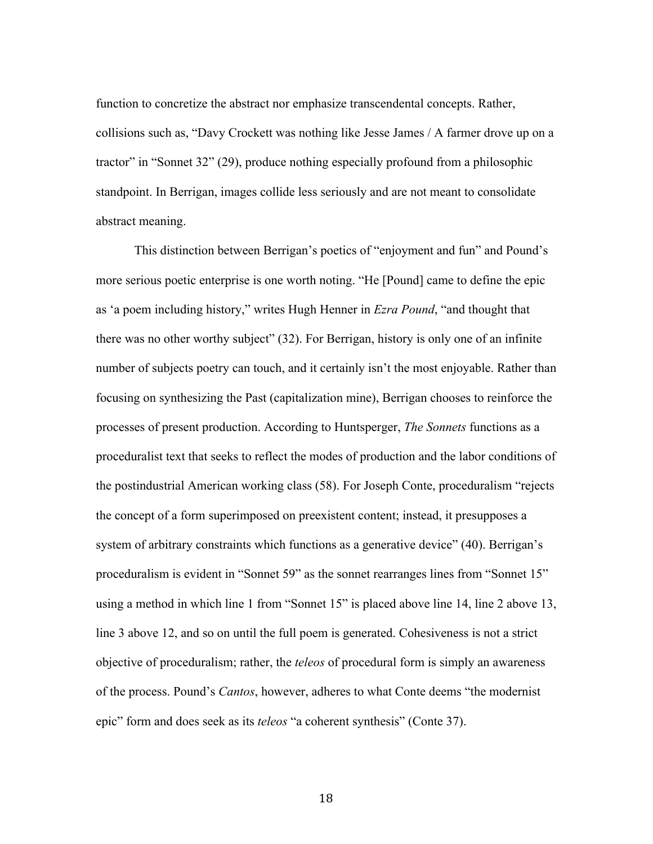function to concretize the abstract nor emphasize transcendental concepts. Rather, collisions such as, "Davy Crockett was nothing like Jesse James / A farmer drove up on a tractor" in "Sonnet 32" (29), produce nothing especially profound from a philosophic standpoint. In Berrigan, images collide less seriously and are not meant to consolidate abstract meaning.

This distinction between Berrigan's poetics of "enjoyment and fun" and Pound's more serious poetic enterprise is one worth noting. "He [Pound] came to define the epic as 'a poem including history," writes Hugh Henner in *Ezra Pound*, "and thought that there was no other worthy subject" (32). For Berrigan, history is only one of an infinite number of subjects poetry can touch, and it certainly isn't the most enjoyable. Rather than focusing on synthesizing the Past (capitalization mine), Berrigan chooses to reinforce the processes of present production. According to Huntsperger, *The Sonnets* functions as a proceduralist text that seeks to reflect the modes of production and the labor conditions of the postindustrial American working class (58). For Joseph Conte, proceduralism "rejects the concept of a form superimposed on preexistent content; instead, it presupposes a system of arbitrary constraints which functions as a generative device" (40). Berrigan's proceduralism is evident in "Sonnet 59" as the sonnet rearranges lines from "Sonnet 15" using a method in which line 1 from "Sonnet 15" is placed above line 14, line 2 above 13, line 3 above 12, and so on until the full poem is generated. Cohesiveness is not a strict objective of proceduralism; rather, the *teleos* of procedural form is simply an awareness of the process. Pound's *Cantos*, however, adheres to what Conte deems "the modernist epic" form and does seek as its *teleos* "a coherent synthesis" (Conte 37).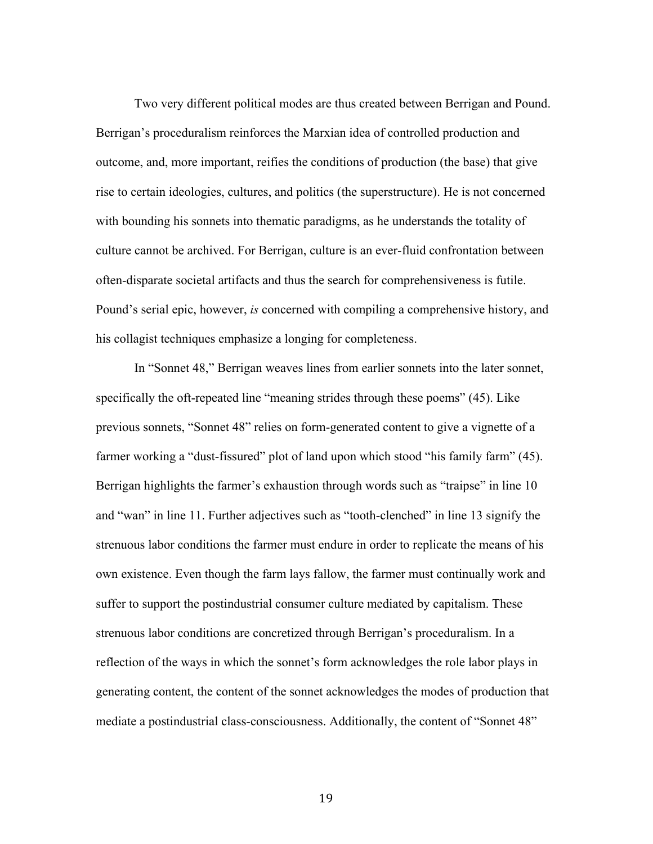Two very different political modes are thus created between Berrigan and Pound. Berrigan's proceduralism reinforces the Marxian idea of controlled production and outcome, and, more important, reifies the conditions of production (the base) that give rise to certain ideologies, cultures, and politics (the superstructure). He is not concerned with bounding his sonnets into thematic paradigms, as he understands the totality of culture cannot be archived. For Berrigan, culture is an ever-fluid confrontation between often-disparate societal artifacts and thus the search for comprehensiveness is futile. Pound's serial epic, however, *is* concerned with compiling a comprehensive history, and his collagist techniques emphasize a longing for completeness.

In "Sonnet 48," Berrigan weaves lines from earlier sonnets into the later sonnet, specifically the oft-repeated line "meaning strides through these poems" (45). Like previous sonnets, "Sonnet 48" relies on form-generated content to give a vignette of a farmer working a "dust-fissured" plot of land upon which stood "his family farm" (45). Berrigan highlights the farmer's exhaustion through words such as "traipse" in line 10 and "wan" in line 11. Further adjectives such as "tooth-clenched" in line 13 signify the strenuous labor conditions the farmer must endure in order to replicate the means of his own existence. Even though the farm lays fallow, the farmer must continually work and suffer to support the postindustrial consumer culture mediated by capitalism. These strenuous labor conditions are concretized through Berrigan's proceduralism. In a reflection of the ways in which the sonnet's form acknowledges the role labor plays in generating content, the content of the sonnet acknowledges the modes of production that mediate a postindustrial class-consciousness. Additionally, the content of "Sonnet 48"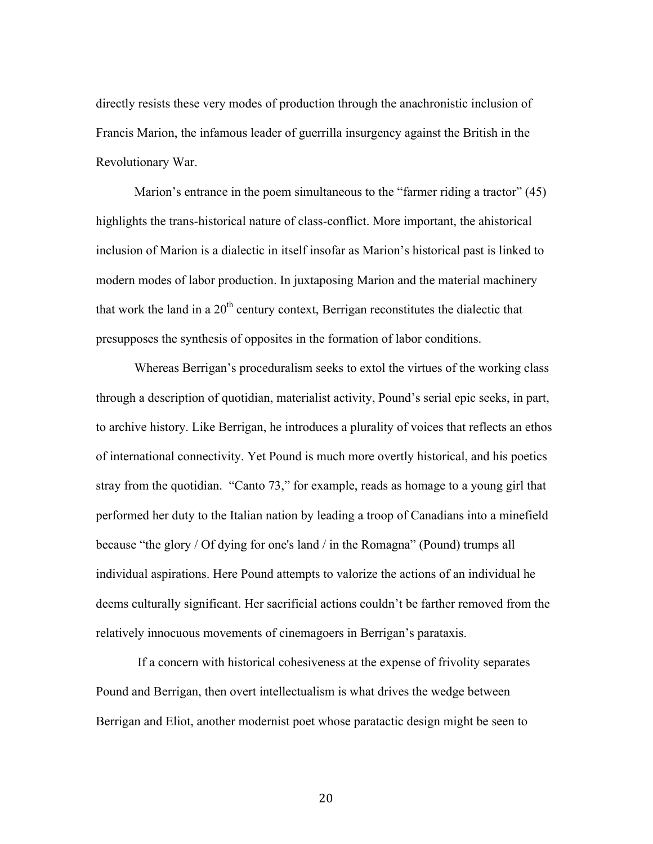directly resists these very modes of production through the anachronistic inclusion of Francis Marion, the infamous leader of guerrilla insurgency against the British in the Revolutionary War.

Marion's entrance in the poem simultaneous to the "farmer riding a tractor" (45) highlights the trans-historical nature of class-conflict. More important, the ahistorical inclusion of Marion is a dialectic in itself insofar as Marion's historical past is linked to modern modes of labor production. In juxtaposing Marion and the material machinery that work the land in a  $20<sup>th</sup>$  century context, Berrigan reconstitutes the dialectic that presupposes the synthesis of opposites in the formation of labor conditions.

Whereas Berrigan's proceduralism seeks to extol the virtues of the working class through a description of quotidian, materialist activity, Pound's serial epic seeks, in part, to archive history. Like Berrigan, he introduces a plurality of voices that reflects an ethos of international connectivity. Yet Pound is much more overtly historical, and his poetics stray from the quotidian. "Canto 73," for example, reads as homage to a young girl that performed her duty to the Italian nation by leading a troop of Canadians into a minefield because "the glory / Of dying for one's land / in the Romagna" (Pound) trumps all individual aspirations. Here Pound attempts to valorize the actions of an individual he deems culturally significant. Her sacrificial actions couldn't be farther removed from the relatively innocuous movements of cinemagoers in Berrigan's parataxis.

If a concern with historical cohesiveness at the expense of frivolity separates Pound and Berrigan, then overt intellectualism is what drives the wedge between Berrigan and Eliot, another modernist poet whose paratactic design might be seen to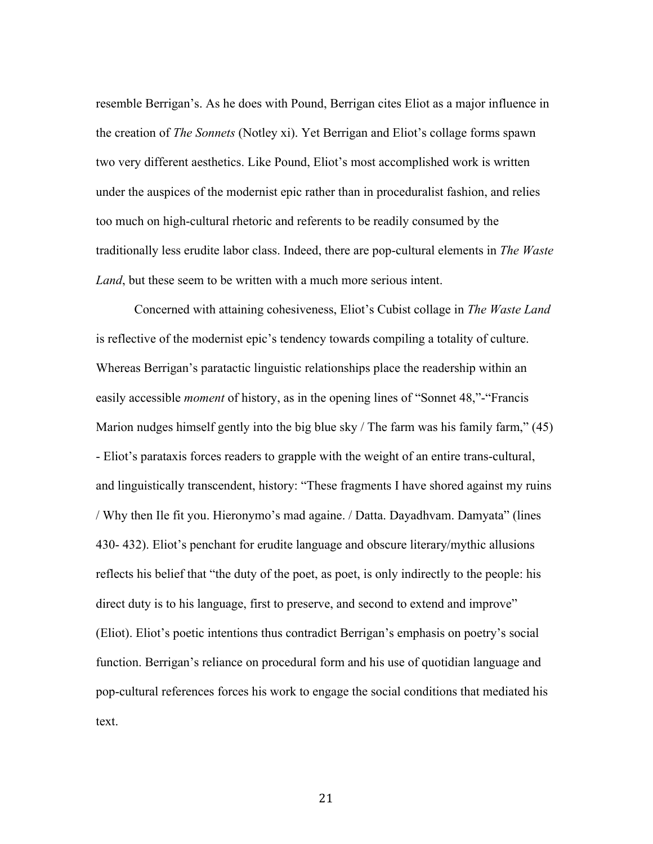resemble Berrigan's. As he does with Pound, Berrigan cites Eliot as a major influence in the creation of *The Sonnets* (Notley xi). Yet Berrigan and Eliot's collage forms spawn two very different aesthetics. Like Pound, Eliot's most accomplished work is written under the auspices of the modernist epic rather than in proceduralist fashion, and relies too much on high-cultural rhetoric and referents to be readily consumed by the traditionally less erudite labor class. Indeed, there are pop-cultural elements in *The Waste Land*, but these seem to be written with a much more serious intent.

Concerned with attaining cohesiveness, Eliot's Cubist collage in *The Waste Land*  is reflective of the modernist epic's tendency towards compiling a totality of culture. Whereas Berrigan's paratactic linguistic relationships place the readership within an easily accessible *moment* of history, as in the opening lines of "Sonnet 48,"-"Francis Marion nudges himself gently into the big blue sky / The farm was his family farm," (45) - Eliot's parataxis forces readers to grapple with the weight of an entire trans-cultural, and linguistically transcendent, history: "These fragments I have shored against my ruins / Why then Ile fit you. Hieronymo's mad againe. / Datta. Dayadhvam. Damyata" (lines 430- 432). Eliot's penchant for erudite language and obscure literary/mythic allusions reflects his belief that "the duty of the poet, as poet, is only indirectly to the people: his direct duty is to his language, first to preserve, and second to extend and improve" (Eliot). Eliot's poetic intentions thus contradict Berrigan's emphasis on poetry's social function. Berrigan's reliance on procedural form and his use of quotidian language and pop-cultural references forces his work to engage the social conditions that mediated his text.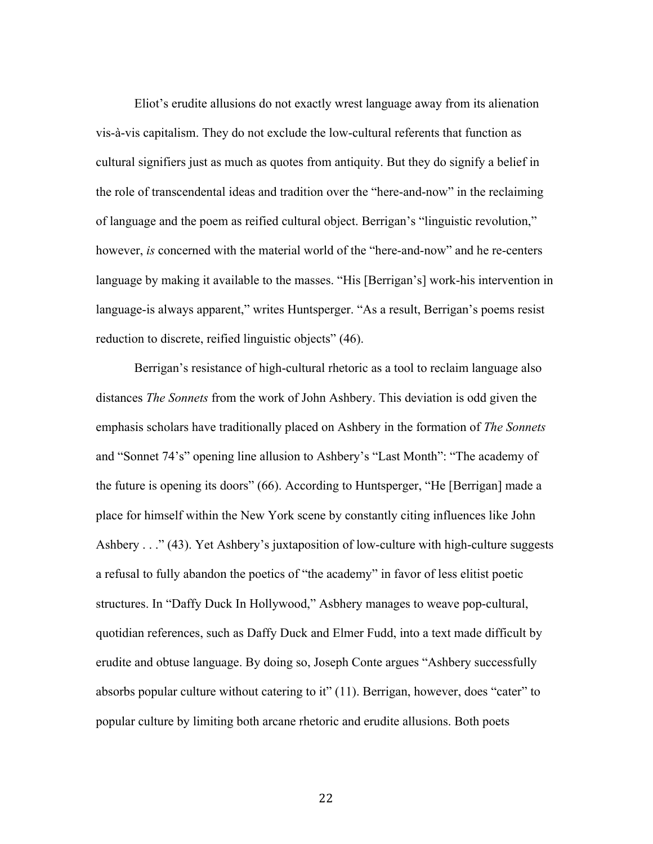Eliot's erudite allusions do not exactly wrest language away from its alienation vis-à-vis capitalism. They do not exclude the low-cultural referents that function as cultural signifiers just as much as quotes from antiquity. But they do signify a belief in the role of transcendental ideas and tradition over the "here-and-now" in the reclaiming of language and the poem as reified cultural object. Berrigan's "linguistic revolution," however, *is* concerned with the material world of the "here-and-now" and he re-centers language by making it available to the masses. "His [Berrigan's] work-his intervention in language-is always apparent," writes Huntsperger. "As a result, Berrigan's poems resist reduction to discrete, reified linguistic objects" (46).

Berrigan's resistance of high-cultural rhetoric as a tool to reclaim language also distances *The Sonnets* from the work of John Ashbery. This deviation is odd given the emphasis scholars have traditionally placed on Ashbery in the formation of *The Sonnets* and "Sonnet 74's" opening line allusion to Ashbery's "Last Month": "The academy of the future is opening its doors" (66). According to Huntsperger, "He [Berrigan] made a place for himself within the New York scene by constantly citing influences like John Ashbery . . ." (43). Yet Ashbery's juxtaposition of low-culture with high-culture suggests a refusal to fully abandon the poetics of "the academy" in favor of less elitist poetic structures. In "Daffy Duck In Hollywood," Asbhery manages to weave pop-cultural, quotidian references, such as Daffy Duck and Elmer Fudd, into a text made difficult by erudite and obtuse language. By doing so, Joseph Conte argues "Ashbery successfully absorbs popular culture without catering to it" (11). Berrigan, however, does "cater" to popular culture by limiting both arcane rhetoric and erudite allusions. Both poets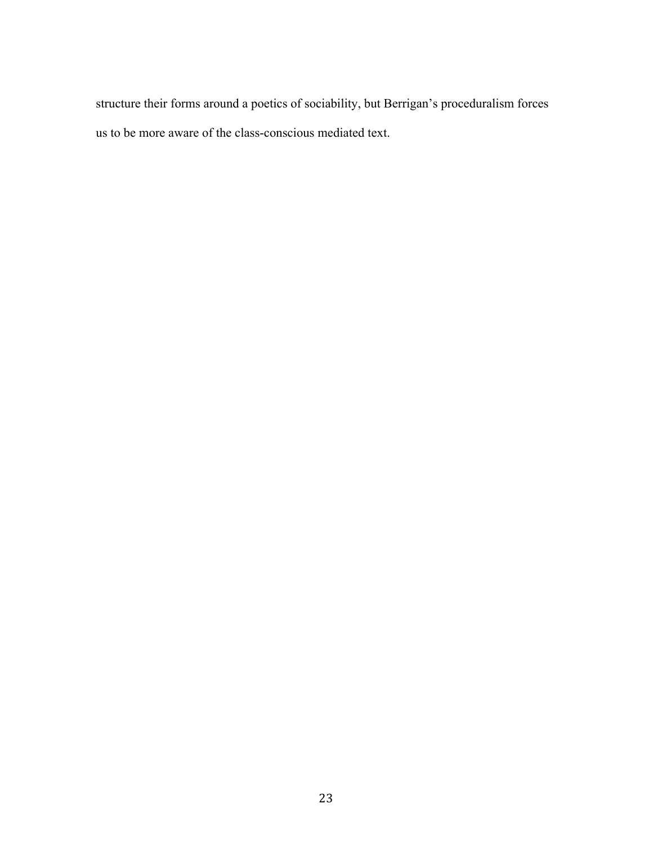structure their forms around a poetics of sociability, but Berrigan's proceduralism forces us to be more aware of the class-conscious mediated text.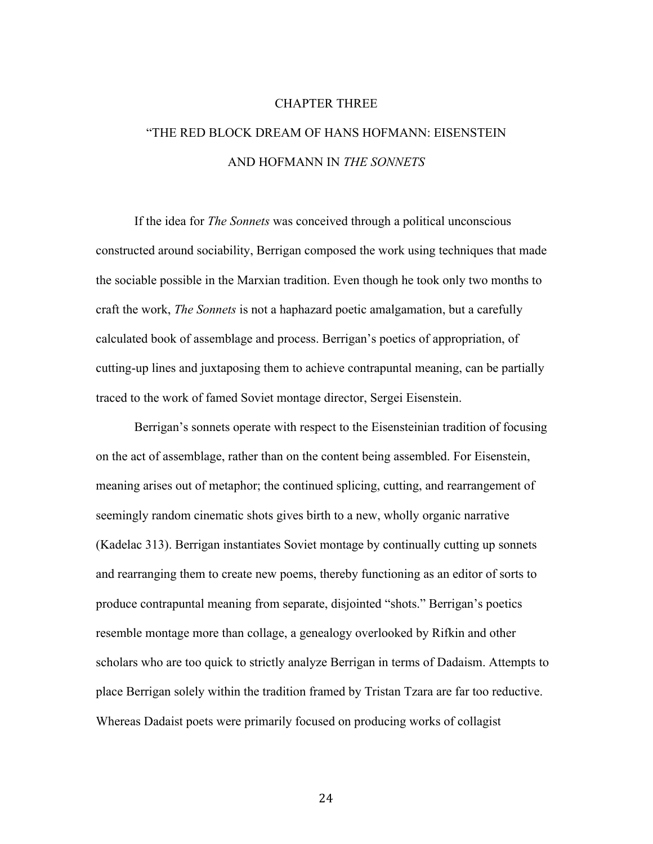#### CHAPTER THREE

# "THE RED BLOCK DREAM OF HANS HOFMANN: EISENSTEIN AND HOFMANN IN *THE SONNETS*

If the idea for *The Sonnets* was conceived through a political unconscious constructed around sociability, Berrigan composed the work using techniques that made the sociable possible in the Marxian tradition. Even though he took only two months to craft the work, *The Sonnets* is not a haphazard poetic amalgamation, but a carefully calculated book of assemblage and process. Berrigan's poetics of appropriation, of cutting-up lines and juxtaposing them to achieve contrapuntal meaning, can be partially traced to the work of famed Soviet montage director, Sergei Eisenstein.

Berrigan's sonnets operate with respect to the Eisensteinian tradition of focusing on the act of assemblage, rather than on the content being assembled. For Eisenstein, meaning arises out of metaphor; the continued splicing, cutting, and rearrangement of seemingly random cinematic shots gives birth to a new, wholly organic narrative (Kadelac 313). Berrigan instantiates Soviet montage by continually cutting up sonnets and rearranging them to create new poems, thereby functioning as an editor of sorts to produce contrapuntal meaning from separate, disjointed "shots." Berrigan's poetics resemble montage more than collage, a genealogy overlooked by Rifkin and other scholars who are too quick to strictly analyze Berrigan in terms of Dadaism. Attempts to place Berrigan solely within the tradition framed by Tristan Tzara are far too reductive. Whereas Dadaist poets were primarily focused on producing works of collagist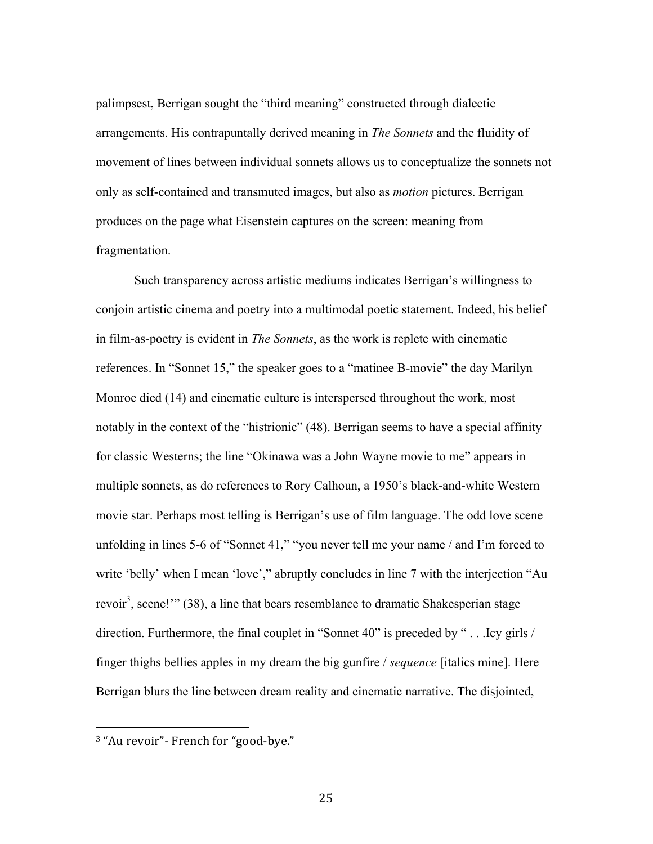palimpsest, Berrigan sought the "third meaning" constructed through dialectic arrangements. His contrapuntally derived meaning in *The Sonnets* and the fluidity of movement of lines between individual sonnets allows us to conceptualize the sonnets not only as self-contained and transmuted images, but also as *motion* pictures. Berrigan produces on the page what Eisenstein captures on the screen: meaning from fragmentation.

Such transparency across artistic mediums indicates Berrigan's willingness to conjoin artistic cinema and poetry into a multimodal poetic statement. Indeed, his belief in film-as-poetry is evident in *The Sonnets*, as the work is replete with cinematic references. In "Sonnet 15," the speaker goes to a "matinee B-movie" the day Marilyn Monroe died (14) and cinematic culture is interspersed throughout the work, most notably in the context of the "histrionic" (48). Berrigan seems to have a special affinity for classic Westerns; the line "Okinawa was a John Wayne movie to me" appears in multiple sonnets, as do references to Rory Calhoun, a 1950's black-and-white Western movie star. Perhaps most telling is Berrigan's use of film language. The odd love scene unfolding in lines 5-6 of "Sonnet 41," "you never tell me your name / and I'm forced to write 'belly' when I mean 'love'," abruptly concludes in line 7 with the interjection "Au revoir<sup>3</sup>, scene!" (38), a line that bears resemblance to dramatic Shakesperian stage direction. Furthermore, the final couplet in "Sonnet 40" is preceded by " . . .Icy girls / finger thighs bellies apples in my dream the big gunfire / *sequence* [italics mine]. Here Berrigan blurs the line between dream reality and cinematic narrative. The disjointed,

!!!!!!!!!!!!!!!!!!!!!!!!!!!!!!!!!!!!!!!!!!!!!!!!!!!!!!!

<sup>&</sup>lt;sup>3</sup> "Au revoir"- French for "good-bve."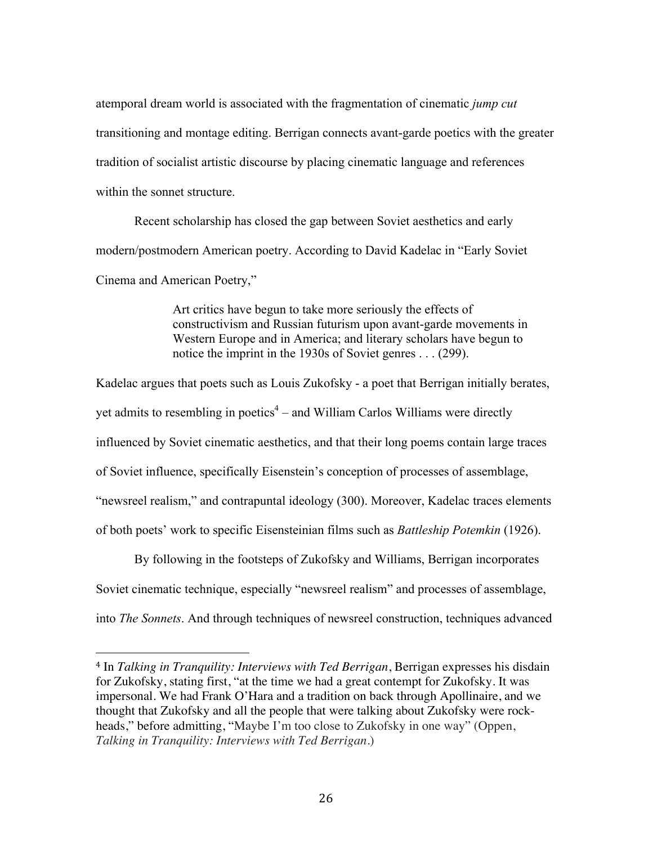atemporal dream world is associated with the fragmentation of cinematic *jump cut* transitioning and montage editing. Berrigan connects avant-garde poetics with the greater tradition of socialist artistic discourse by placing cinematic language and references within the sonnet structure.

Recent scholarship has closed the gap between Soviet aesthetics and early modern/postmodern American poetry. According to David Kadelac in "Early Soviet Cinema and American Poetry,"

> Art critics have begun to take more seriously the effects of constructivism and Russian futurism upon avant-garde movements in Western Europe and in America; and literary scholars have begun to notice the imprint in the 1930s of Soviet genres . . . (299).

Kadelac argues that poets such as Louis Zukofsky - a poet that Berrigan initially berates, yet admits to resembling in poetics $4 -$  and William Carlos Williams were directly influenced by Soviet cinematic aesthetics, and that their long poems contain large traces of Soviet influence, specifically Eisenstein's conception of processes of assemblage, "newsreel realism," and contrapuntal ideology (300). Moreover, Kadelac traces elements of both poets' work to specific Eisensteinian films such as *Battleship Potemkin* (1926).

By following in the footsteps of Zukofsky and Williams, Berrigan incorporates Soviet cinematic technique, especially "newsreel realism" and processes of assemblage, into *The Sonnets*. And through techniques of newsreel construction, techniques advanced

!!!!!!!!!!!!!!!!!!!!!!!!!!!!!!!!!!!!!!!!!!!!!!!!!!!!!!!

<sup>4</sup> In *Talking in Tranquility: Interviews with Ted Berrigan*, Berrigan expresses his disdain for Zukofsky, stating first, "at the time we had a great contempt for Zukofsky. It was impersonal. We had Frank O'Hara and a tradition on back through Apollinaire, and we thought that Zukofsky and all the people that were talking about Zukofsky were rockheads," before admitting, "Maybe I'm too close to Zukofsky in one way" (Oppen, *Talking in Tranquility: Interviews with Ted Berrigan*.)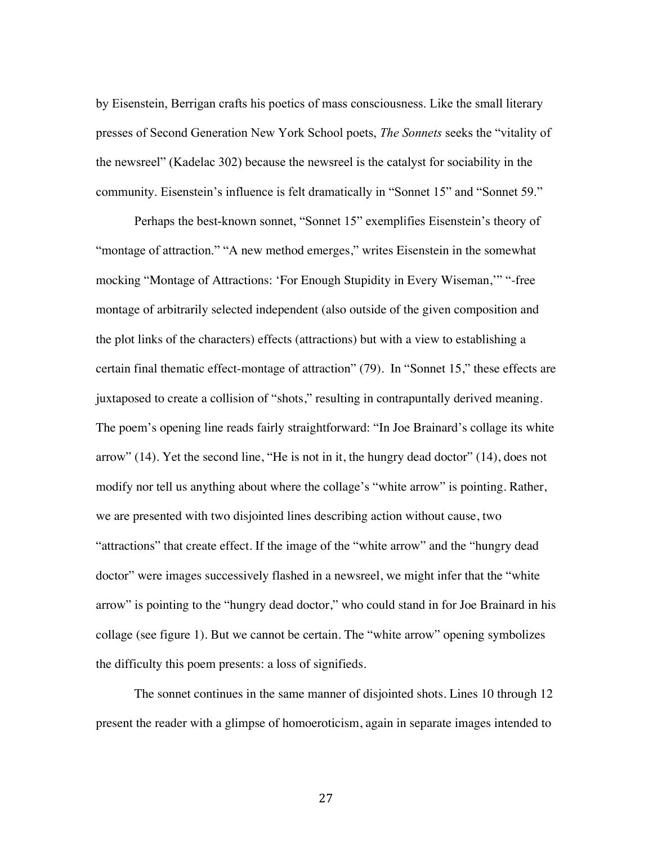by Eisenstein, Berrigan crafts his poetics of mass consciousness. Like the small literary presses of Second Generation New York School poets, *The Sonnets* seeks the "vitality of the newsreel" (Kadelac 302) because the newsreel is the catalyst for sociability in the community. Eisenstein's influence is felt dramatically in "Sonnet 15" and "Sonnet 59."

Perhaps the best-known sonnet, "Sonnet 15" exemplifies Eisenstein's theory of "montage of attraction." "A new method emerges," writes Eisenstein in the somewhat mocking "Montage of Attractions: 'For Enough Stupidity in Every Wiseman,'" "-free montage of arbitrarily selected independent (also outside of the given composition and the plot links of the characters) effects (attractions) but with a view to establishing a certain final thematic effect-montage of attraction" (79). In "Sonnet 15," these effects are juxtaposed to create a collision of "shots," resulting in contrapuntally derived meaning. The poem's opening line reads fairly straightforward: "In Joe Brainard's collage its white arrow" (14). Yet the second line, "He is not in it, the hungry dead doctor" (14), does not modify nor tell us anything about where the collage's "white arrow" is pointing. Rather, we are presented with two disjointed lines describing action without cause, two "attractions" that create effect. If the image of the "white arrow" and the "hungry dead doctor" were images successively flashed in a newsreel, we might infer that the "white arrow" is pointing to the "hungry dead doctor," who could stand in for Joe Brainard in his collage (see figure 1). But we cannot be certain. The "white arrow" opening symbolizes the difficulty this poem presents: a loss of signifieds.

The sonnet continues in the same manner of disjointed shots. Lines 10 through 12 present the reader with a glimpse of homoeroticism, again in separate images intended to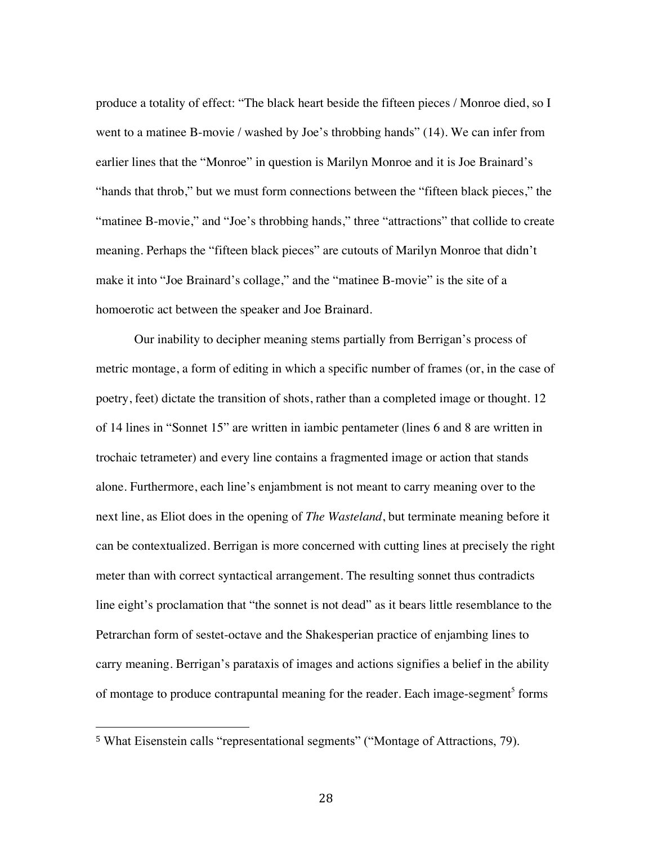produce a totality of effect: "The black heart beside the fifteen pieces / Monroe died, so I went to a matinee B-movie / washed by Joe's throbbing hands" (14). We can infer from earlier lines that the "Monroe" in question is Marilyn Monroe and it is Joe Brainard's "hands that throb," but we must form connections between the "fifteen black pieces," the "matinee B-movie," and "Joe's throbbing hands," three "attractions" that collide to create meaning. Perhaps the "fifteen black pieces" are cutouts of Marilyn Monroe that didn't make it into "Joe Brainard's collage," and the "matinee B-movie" is the site of a homoerotic act between the speaker and Joe Brainard.

Our inability to decipher meaning stems partially from Berrigan's process of metric montage, a form of editing in which a specific number of frames (or, in the case of poetry, feet) dictate the transition of shots, rather than a completed image or thought. 12 of 14 lines in "Sonnet 15" are written in iambic pentameter (lines 6 and 8 are written in trochaic tetrameter) and every line contains a fragmented image or action that stands alone. Furthermore, each line's enjambment is not meant to carry meaning over to the next line, as Eliot does in the opening of *The Wasteland*, but terminate meaning before it can be contextualized. Berrigan is more concerned with cutting lines at precisely the right meter than with correct syntactical arrangement. The resulting sonnet thus contradicts line eight's proclamation that "the sonnet is not dead" as it bears little resemblance to the Petrarchan form of sestet-octave and the Shakesperian practice of enjambing lines to carry meaning. Berrigan's parataxis of images and actions signifies a belief in the ability of montage to produce contrapuntal meaning for the reader. Each image-segment<sup>5</sup> forms

!!!!!!!!!!!!!!!!!!!!!!!!!!!!!!!!!!!!!!!!!!!!!!!!!!!!!!!

<sup>5</sup> What Eisenstein calls "representational segments" ("Montage of Attractions, 79).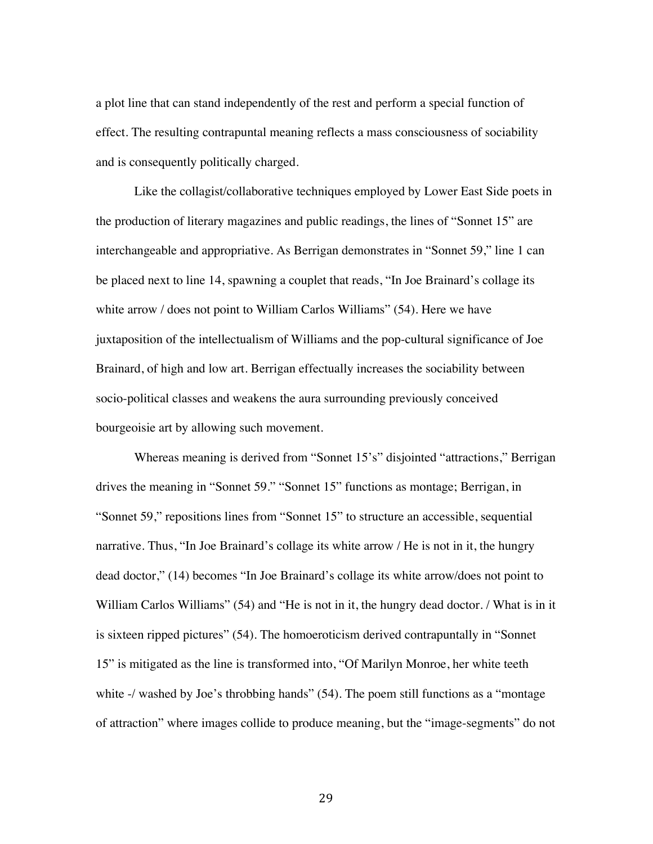a plot line that can stand independently of the rest and perform a special function of effect. The resulting contrapuntal meaning reflects a mass consciousness of sociability and is consequently politically charged.

Like the collagist/collaborative techniques employed by Lower East Side poets in the production of literary magazines and public readings, the lines of "Sonnet 15" are interchangeable and appropriative. As Berrigan demonstrates in "Sonnet 59," line 1 can be placed next to line 14, spawning a couplet that reads, "In Joe Brainard's collage its white arrow / does not point to William Carlos Williams" (54). Here we have juxtaposition of the intellectualism of Williams and the pop-cultural significance of Joe Brainard, of high and low art. Berrigan effectually increases the sociability between socio-political classes and weakens the aura surrounding previously conceived bourgeoisie art by allowing such movement.

Whereas meaning is derived from "Sonnet 15's" disjointed "attractions," Berrigan drives the meaning in "Sonnet 59." "Sonnet 15" functions as montage; Berrigan, in "Sonnet 59," repositions lines from "Sonnet 15" to structure an accessible, sequential narrative. Thus, "In Joe Brainard's collage its white arrow / He is not in it, the hungry dead doctor," (14) becomes "In Joe Brainard's collage its white arrow/does not point to William Carlos Williams" (54) and "He is not in it, the hungry dead doctor. / What is in it is sixteen ripped pictures" (54). The homoeroticism derived contrapuntally in "Sonnet 15" is mitigated as the line is transformed into, "Of Marilyn Monroe, her white teeth white -/ washed by Joe's throbbing hands" (54). The poem still functions as a "montage" of attraction" where images collide to produce meaning, but the "image-segments" do not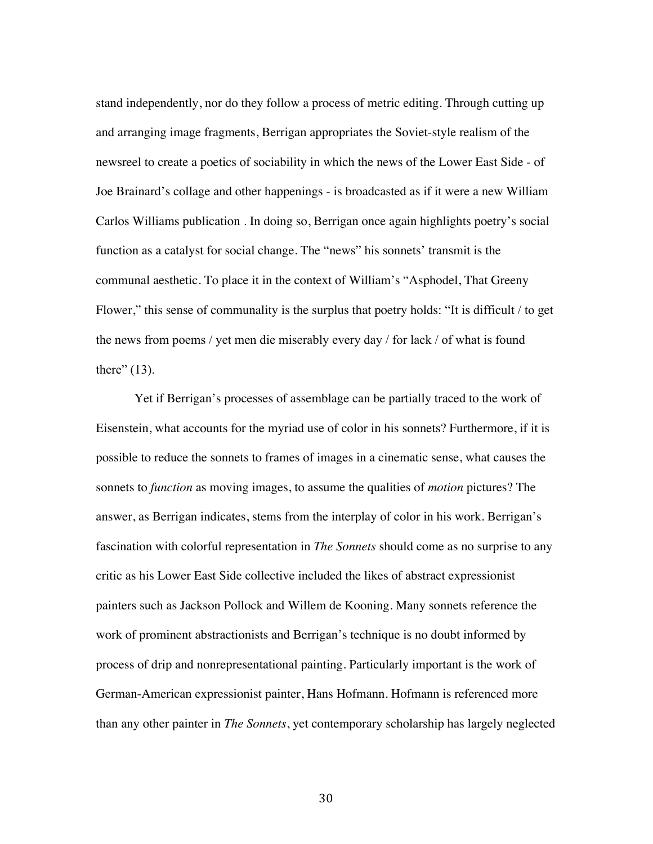stand independently, nor do they follow a process of metric editing. Through cutting up and arranging image fragments, Berrigan appropriates the Soviet-style realism of the newsreel to create a poetics of sociability in which the news of the Lower East Side - of Joe Brainard's collage and other happenings - is broadcasted as if it were a new William Carlos Williams publication . In doing so, Berrigan once again highlights poetry's social function as a catalyst for social change. The "news" his sonnets' transmit is the communal aesthetic. To place it in the context of William's "Asphodel, That Greeny Flower," this sense of communality is the surplus that poetry holds: "It is difficult / to get the news from poems / yet men die miserably every day / for lack / of what is found there"  $(13)$ .

Yet if Berrigan's processes of assemblage can be partially traced to the work of Eisenstein, what accounts for the myriad use of color in his sonnets? Furthermore, if it is possible to reduce the sonnets to frames of images in a cinematic sense, what causes the sonnets to *function* as moving images, to assume the qualities of *motion* pictures? The answer, as Berrigan indicates, stems from the interplay of color in his work. Berrigan's fascination with colorful representation in *The Sonnets* should come as no surprise to any critic as his Lower East Side collective included the likes of abstract expressionist painters such as Jackson Pollock and Willem de Kooning. Many sonnets reference the work of prominent abstractionists and Berrigan's technique is no doubt informed by process of drip and nonrepresentational painting. Particularly important is the work of German-American expressionist painter, Hans Hofmann. Hofmann is referenced more than any other painter in *The Sonnets*, yet contemporary scholarship has largely neglected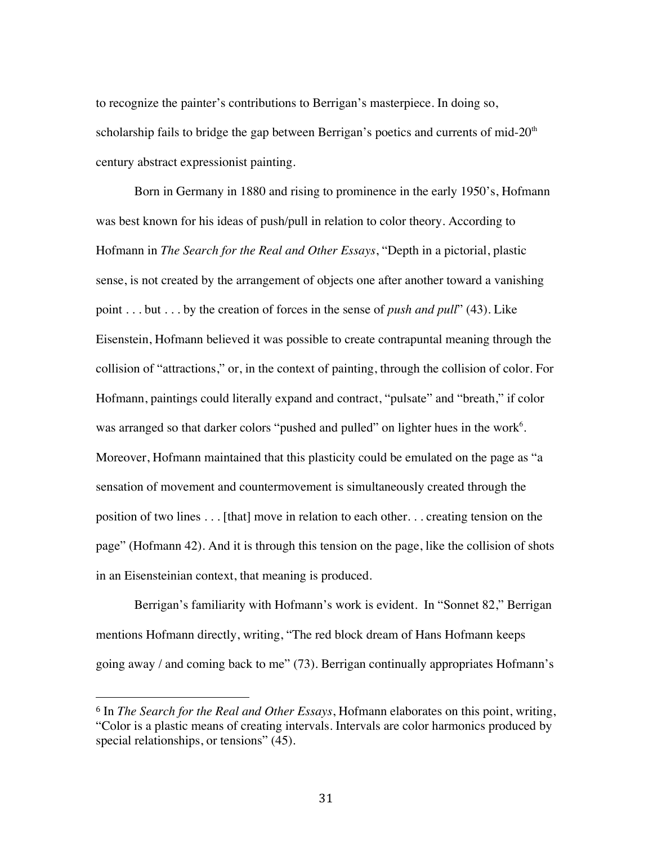to recognize the painter's contributions to Berrigan's masterpiece. In doing so, scholarship fails to bridge the gap between Berrigan's poetics and currents of mid- $20<sup>th</sup>$ century abstract expressionist painting.

Born in Germany in 1880 and rising to prominence in the early 1950's, Hofmann was best known for his ideas of push/pull in relation to color theory. According to Hofmann in *The Search for the Real and Other Essays*, "Depth in a pictorial, plastic sense, is not created by the arrangement of objects one after another toward a vanishing point . . . but . . . by the creation of forces in the sense of *push and pull*" (43). Like Eisenstein, Hofmann believed it was possible to create contrapuntal meaning through the collision of "attractions," or, in the context of painting, through the collision of color. For Hofmann, paintings could literally expand and contract, "pulsate" and "breath," if color was arranged so that darker colors "pushed and pulled" on lighter hues in the work<sup>6</sup>. Moreover, Hofmann maintained that this plasticity could be emulated on the page as "a sensation of movement and countermovement is simultaneously created through the position of two lines . . . [that] move in relation to each other. . . creating tension on the page" (Hofmann 42). And it is through this tension on the page, like the collision of shots in an Eisensteinian context, that meaning is produced.

Berrigan's familiarity with Hofmann's work is evident. In "Sonnet 82," Berrigan mentions Hofmann directly, writing, "The red block dream of Hans Hofmann keeps going away / and coming back to me" (73). Berrigan continually appropriates Hofmann's

!!!!!!!!!!!!!!!!!!!!!!!!!!!!!!!!!!!!!!!!!!!!!!!!!!!!!!!

<sup>6</sup> In *The Search for the Real and Other Essays*, Hofmann elaborates on this point, writing, "Color is a plastic means of creating intervals. Intervals are color harmonics produced by special relationships, or tensions" (45).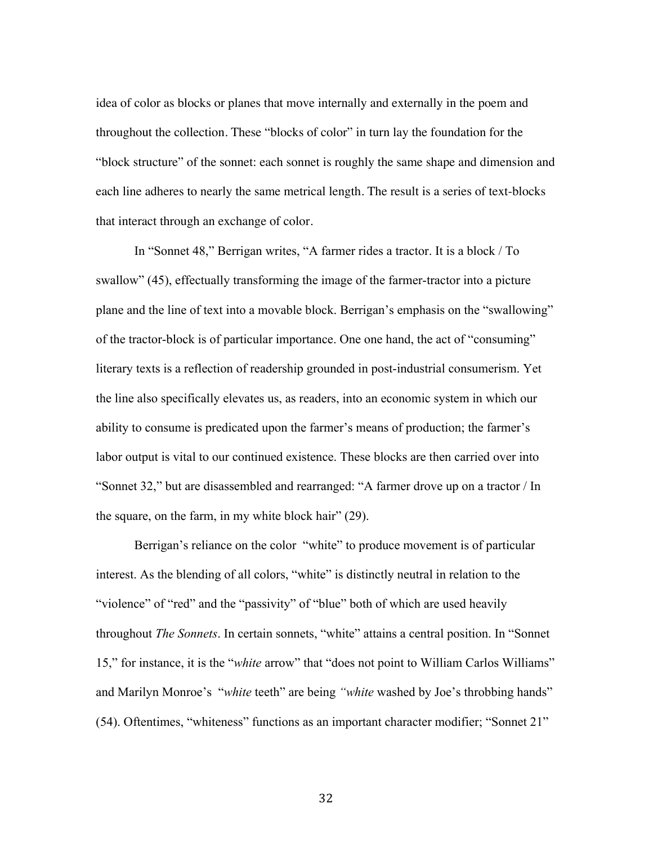idea of color as blocks or planes that move internally and externally in the poem and throughout the collection. These "blocks of color" in turn lay the foundation for the "block structure" of the sonnet: each sonnet is roughly the same shape and dimension and each line adheres to nearly the same metrical length. The result is a series of text-blocks that interact through an exchange of color.

In "Sonnet 48," Berrigan writes, "A farmer rides a tractor. It is a block / To swallow" (45), effectually transforming the image of the farmer-tractor into a picture plane and the line of text into a movable block. Berrigan's emphasis on the "swallowing" of the tractor-block is of particular importance. One one hand, the act of "consuming" literary texts is a reflection of readership grounded in post-industrial consumerism. Yet the line also specifically elevates us, as readers, into an economic system in which our ability to consume is predicated upon the farmer's means of production; the farmer's labor output is vital to our continued existence. These blocks are then carried over into "Sonnet 32," but are disassembled and rearranged: "A farmer drove up on a tractor / In the square, on the farm, in my white block hair" (29).

Berrigan's reliance on the color "white" to produce movement is of particular interest. As the blending of all colors, "white" is distinctly neutral in relation to the "violence" of "red" and the "passivity" of "blue" both of which are used heavily throughout *The Sonnets*. In certain sonnets, "white" attains a central position. In "Sonnet 15," for instance, it is the "*white* arrow" that "does not point to William Carlos Williams" and Marilyn Monroe's "*white* teeth" are being *"white* washed by Joe's throbbing hands" (54). Oftentimes, "whiteness" functions as an important character modifier; "Sonnet 21"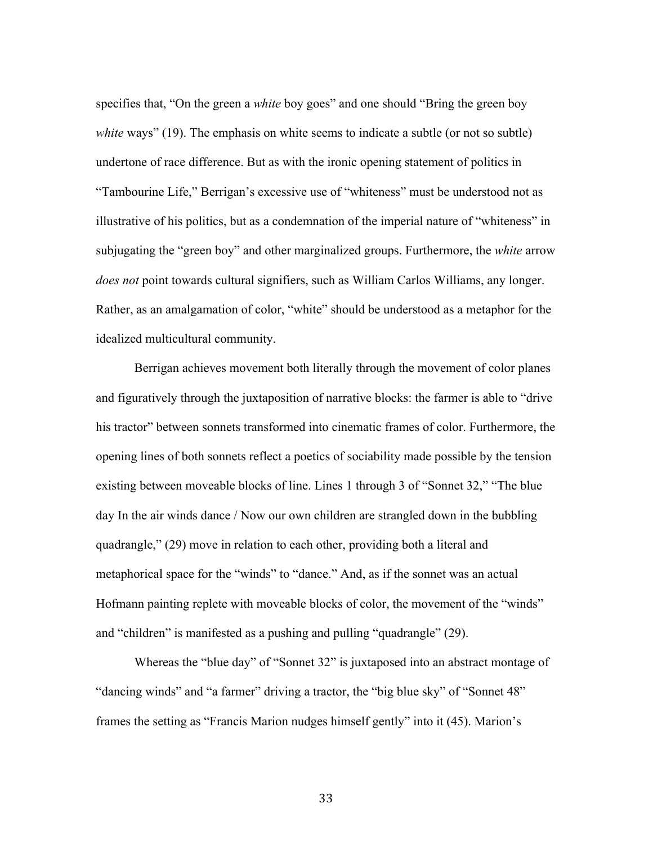specifies that, "On the green a *white* boy goes" and one should "Bring the green boy *white* ways" (19). The emphasis on white seems to indicate a subtle (or not so subtle) undertone of race difference. But as with the ironic opening statement of politics in "Tambourine Life," Berrigan's excessive use of "whiteness" must be understood not as illustrative of his politics, but as a condemnation of the imperial nature of "whiteness" in subjugating the "green boy" and other marginalized groups. Furthermore, the *white* arrow *does not* point towards cultural signifiers, such as William Carlos Williams, any longer. Rather, as an amalgamation of color, "white" should be understood as a metaphor for the idealized multicultural community.

Berrigan achieves movement both literally through the movement of color planes and figuratively through the juxtaposition of narrative blocks: the farmer is able to "drive his tractor" between sonnets transformed into cinematic frames of color. Furthermore, the opening lines of both sonnets reflect a poetics of sociability made possible by the tension existing between moveable blocks of line. Lines 1 through 3 of "Sonnet 32," "The blue day In the air winds dance / Now our own children are strangled down in the bubbling quadrangle," (29) move in relation to each other, providing both a literal and metaphorical space for the "winds" to "dance." And, as if the sonnet was an actual Hofmann painting replete with moveable blocks of color, the movement of the "winds" and "children" is manifested as a pushing and pulling "quadrangle" (29).

Whereas the "blue day" of "Sonnet 32" is juxtaposed into an abstract montage of "dancing winds" and "a farmer" driving a tractor, the "big blue sky" of "Sonnet 48" frames the setting as "Francis Marion nudges himself gently" into it (45). Marion's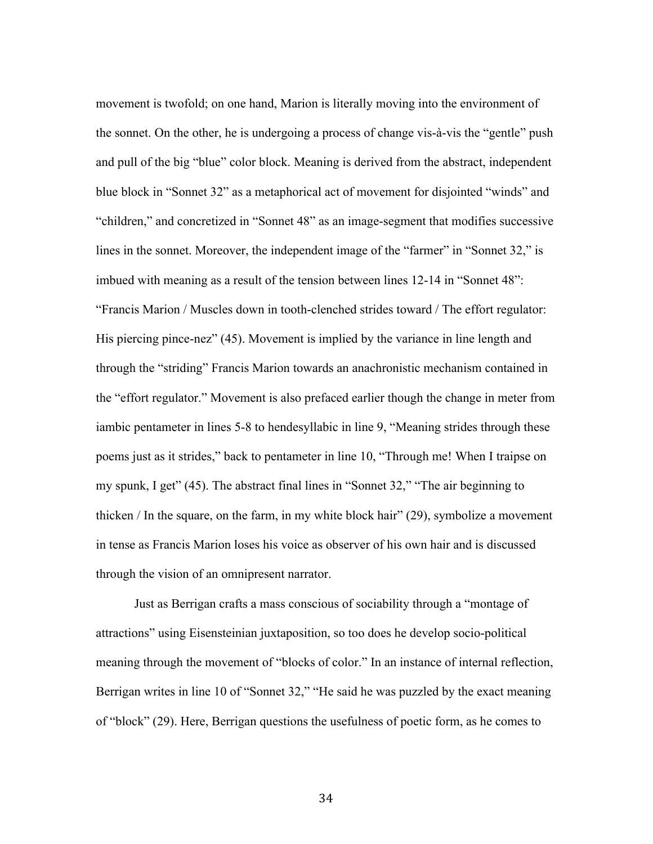movement is twofold; on one hand, Marion is literally moving into the environment of the sonnet. On the other, he is undergoing a process of change vis-à-vis the "gentle" push and pull of the big "blue" color block. Meaning is derived from the abstract, independent blue block in "Sonnet 32" as a metaphorical act of movement for disjointed "winds" and "children," and concretized in "Sonnet 48" as an image-segment that modifies successive lines in the sonnet. Moreover, the independent image of the "farmer" in "Sonnet 32," is imbued with meaning as a result of the tension between lines 12-14 in "Sonnet 48": "Francis Marion / Muscles down in tooth-clenched strides toward / The effort regulator: His piercing pince-nez" (45). Movement is implied by the variance in line length and through the "striding" Francis Marion towards an anachronistic mechanism contained in the "effort regulator." Movement is also prefaced earlier though the change in meter from iambic pentameter in lines 5-8 to hendesyllabic in line 9, "Meaning strides through these poems just as it strides," back to pentameter in line 10, "Through me! When I traipse on my spunk, I get" (45). The abstract final lines in "Sonnet 32," "The air beginning to thicken / In the square, on the farm, in my white block hair" (29), symbolize a movement in tense as Francis Marion loses his voice as observer of his own hair and is discussed through the vision of an omnipresent narrator.

Just as Berrigan crafts a mass conscious of sociability through a "montage of attractions" using Eisensteinian juxtaposition, so too does he develop socio-political meaning through the movement of "blocks of color." In an instance of internal reflection, Berrigan writes in line 10 of "Sonnet 32," "He said he was puzzled by the exact meaning of "block" (29). Here, Berrigan questions the usefulness of poetic form, as he comes to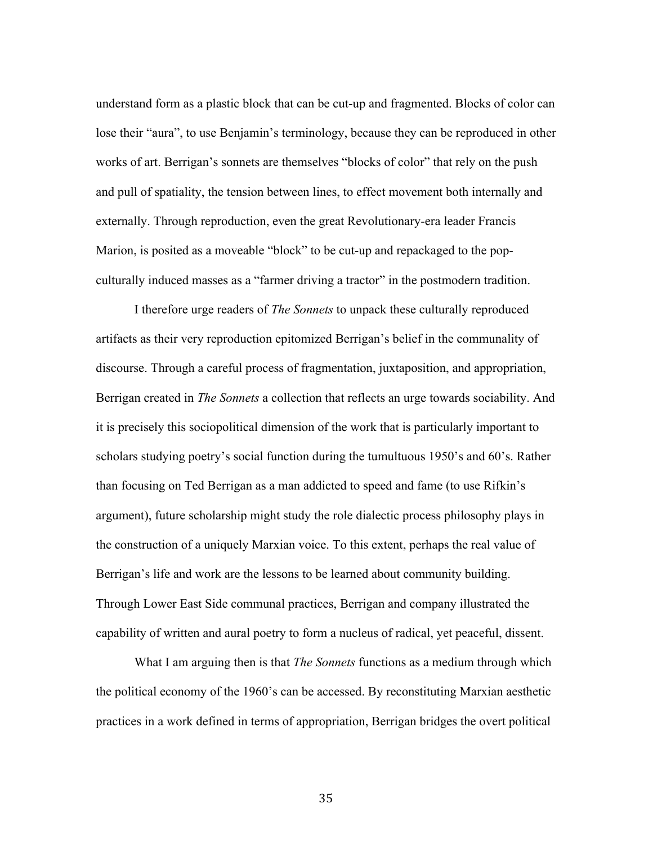understand form as a plastic block that can be cut-up and fragmented. Blocks of color can lose their "aura", to use Benjamin's terminology, because they can be reproduced in other works of art. Berrigan's sonnets are themselves "blocks of color" that rely on the push and pull of spatiality, the tension between lines, to effect movement both internally and externally. Through reproduction, even the great Revolutionary-era leader Francis Marion, is posited as a moveable "block" to be cut-up and repackaged to the popculturally induced masses as a "farmer driving a tractor" in the postmodern tradition.

I therefore urge readers of *The Sonnets* to unpack these culturally reproduced artifacts as their very reproduction epitomized Berrigan's belief in the communality of discourse. Through a careful process of fragmentation, juxtaposition, and appropriation, Berrigan created in *The Sonnets* a collection that reflects an urge towards sociability. And it is precisely this sociopolitical dimension of the work that is particularly important to scholars studying poetry's social function during the tumultuous 1950's and 60's. Rather than focusing on Ted Berrigan as a man addicted to speed and fame (to use Rifkin's argument), future scholarship might study the role dialectic process philosophy plays in the construction of a uniquely Marxian voice. To this extent, perhaps the real value of Berrigan's life and work are the lessons to be learned about community building. Through Lower East Side communal practices, Berrigan and company illustrated the capability of written and aural poetry to form a nucleus of radical, yet peaceful, dissent.

What I am arguing then is that *The Sonnets* functions as a medium through which the political economy of the 1960's can be accessed. By reconstituting Marxian aesthetic practices in a work defined in terms of appropriation, Berrigan bridges the overt political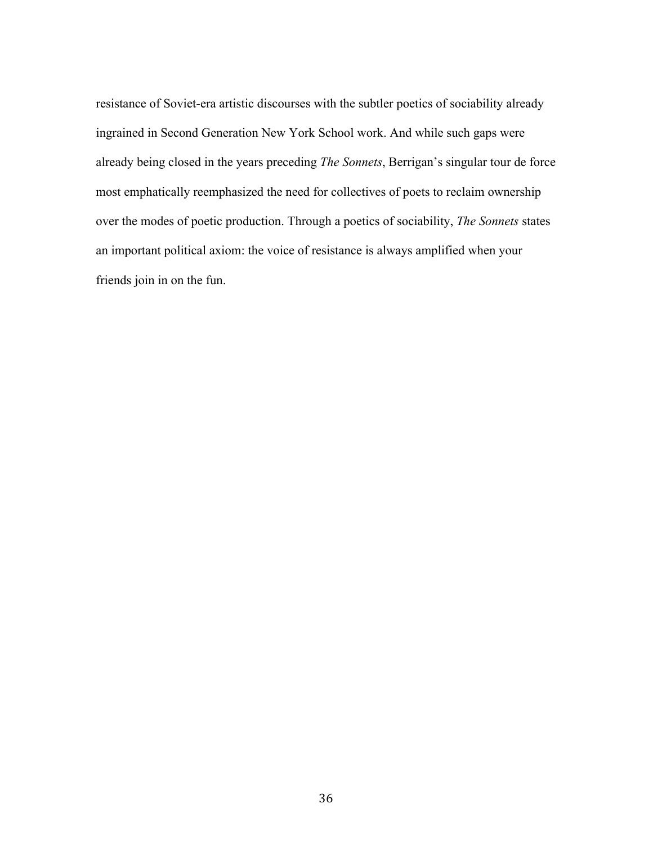resistance of Soviet-era artistic discourses with the subtler poetics of sociability already ingrained in Second Generation New York School work. And while such gaps were already being closed in the years preceding *The Sonnets*, Berrigan's singular tour de force most emphatically reemphasized the need for collectives of poets to reclaim ownership over the modes of poetic production. Through a poetics of sociability, *The Sonnets* states an important political axiom: the voice of resistance is always amplified when your friends join in on the fun.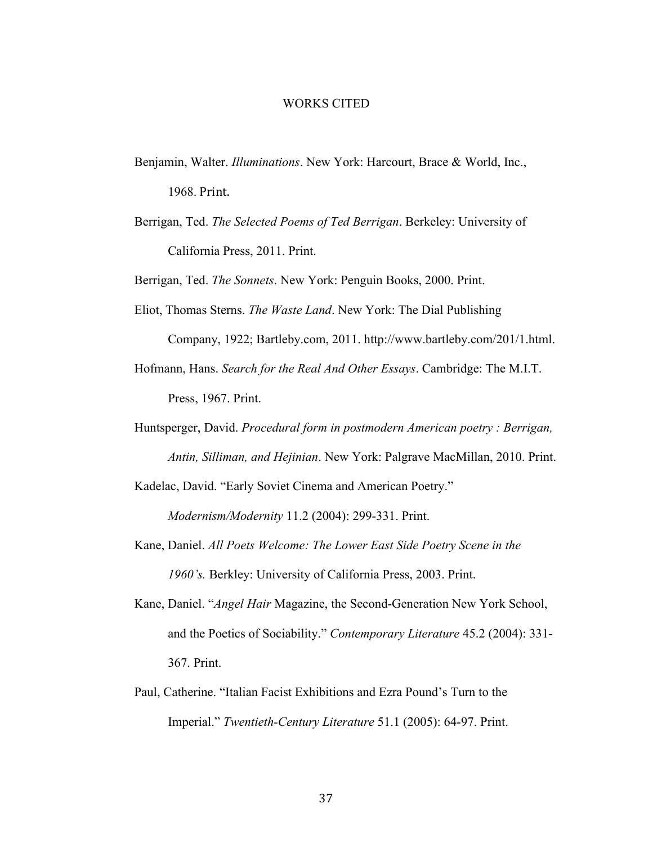#### WORKS CITED

- Benjamin, Walter. *Illuminations*. New York: Harcourt, Brace & World, Inc., 1968. Print.
- Berrigan, Ted. *The Selected Poems of Ted Berrigan*. Berkeley: University of California Press, 2011. Print.

Berrigan, Ted. *The Sonnets*. New York: Penguin Books, 2000. Print.

- Eliot, Thomas Sterns. *The Waste Land*. New York: The Dial Publishing Company, 1922; Bartleby.com, 2011. http://www.bartleby.com/201/1.html.
- Hofmann, Hans. *Search for the Real And Other Essays*. Cambridge: The M.I.T. Press, 1967. Print.
- Huntsperger, David. *Procedural form in postmodern American poetry : Berrigan, Antin, Silliman, and Hejinian*. New York: Palgrave MacMillan, 2010. Print.

Kadelac, David. "Early Soviet Cinema and American Poetry."

*Modernism/Modernity* 11.2 (2004): 299-331. Print.

- Kane, Daniel. *All Poets Welcome: The Lower East Side Poetry Scene in the 1960's.* Berkley: University of California Press, 2003. Print.
- Kane, Daniel. "*Angel Hair* Magazine, the Second-Generation New York School, and the Poetics of Sociability." *Contemporary Literature* 45.2 (2004): 331- 367. Print.
- Paul, Catherine. "Italian Facist Exhibitions and Ezra Pound's Turn to the Imperial." *Twentieth-Century Literature* 51.1 (2005): 64-97. Print.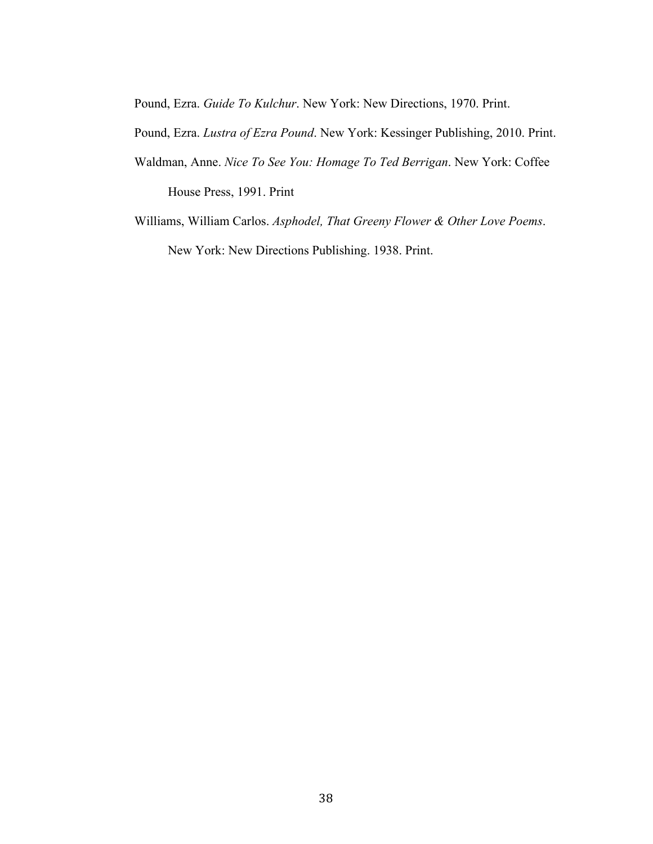Pound, Ezra. *Guide To Kulchur*. New York: New Directions, 1970. Print.

Pound, Ezra. *Lustra of Ezra Pound*. New York: Kessinger Publishing, 2010. Print.

- Waldman, Anne. *Nice To See You: Homage To Ted Berrigan*. New York: Coffee House Press, 1991. Print
- Williams, William Carlos. *Asphodel, That Greeny Flower & Other Love Poems*. New York: New Directions Publishing. 1938. Print.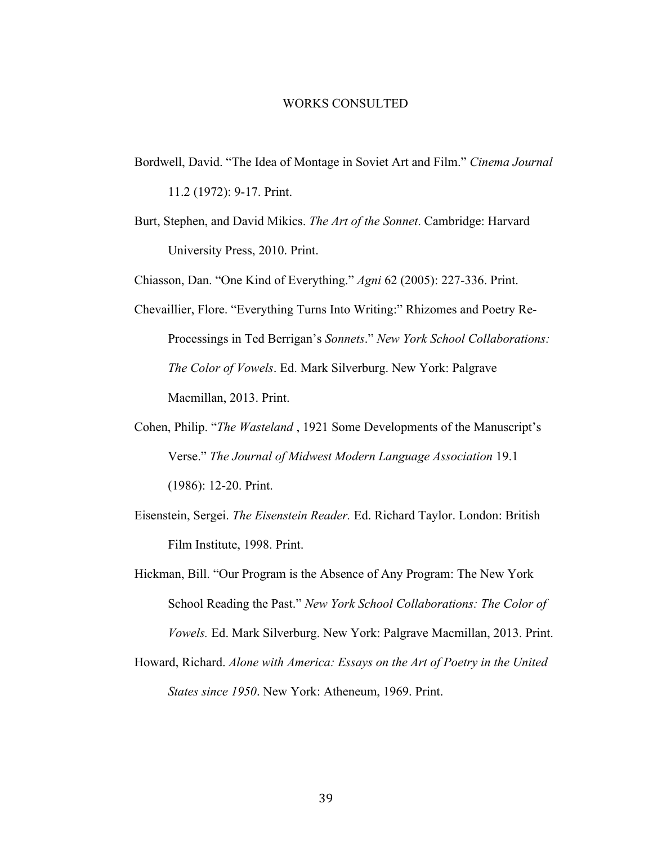#### WORKS CONSULTED

- Bordwell, David. "The Idea of Montage in Soviet Art and Film." *Cinema Journal*  11.2 (1972): 9-17. Print.
- Burt, Stephen, and David Mikics. *The Art of the Sonnet*. Cambridge: Harvard University Press, 2010. Print.

Chiasson, Dan. "One Kind of Everything." *Agni* 62 (2005): 227-336. Print.

- Chevaillier, Flore. "Everything Turns Into Writing:" Rhizomes and Poetry Re-Processings in Ted Berrigan's *Sonnets*." *New York School Collaborations: The Color of Vowels*. Ed. Mark Silverburg. New York: Palgrave Macmillan, 2013. Print.
- Cohen, Philip. "*The Wasteland* , 1921 Some Developments of the Manuscript's Verse." *The Journal of Midwest Modern Language Association* 19.1 (1986): 12-20. Print.
- Eisenstein, Sergei. *The Eisenstein Reader.* Ed. Richard Taylor. London: British Film Institute, 1998. Print.
- Hickman, Bill. "Our Program is the Absence of Any Program: The New York School Reading the Past." *New York School Collaborations: The Color of Vowels.* Ed. Mark Silverburg. New York: Palgrave Macmillan, 2013. Print.
- Howard, Richard. *Alone with America: Essays on the Art of Poetry in the United States since 1950*. New York: Atheneum, 1969. Print.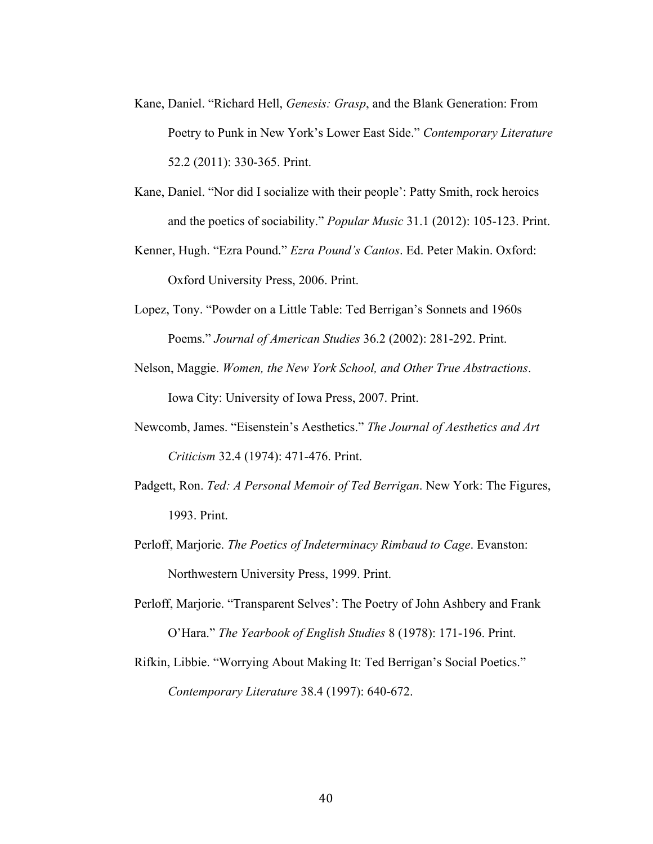- Kane, Daniel. "Richard Hell, *Genesis: Grasp*, and the Blank Generation: From Poetry to Punk in New York's Lower East Side." *Contemporary Literature*  52.2 (2011): 330-365. Print.
- Kane, Daniel. "Nor did I socialize with their people': Patty Smith, rock heroics and the poetics of sociability." *Popular Music* 31.1 (2012): 105-123. Print.
- Kenner, Hugh. "Ezra Pound." *Ezra Pound's Cantos*. Ed. Peter Makin. Oxford: Oxford University Press, 2006. Print.
- Lopez, Tony. "Powder on a Little Table: Ted Berrigan's Sonnets and 1960s Poems." *Journal of American Studies* 36.2 (2002): 281-292. Print.
- Nelson, Maggie. *Women, the New York School, and Other True Abstractions*. Iowa City: University of Iowa Press, 2007. Print.
- Newcomb, James. "Eisenstein's Aesthetics." *The Journal of Aesthetics and Art Criticism* 32.4 (1974): 471-476. Print.
- Padgett, Ron. *Ted: A Personal Memoir of Ted Berrigan*. New York: The Figures, 1993. Print.
- Perloff, Marjorie. *The Poetics of Indeterminacy Rimbaud to Cage*. Evanston: Northwestern University Press, 1999. Print.
- Perloff, Marjorie. "Transparent Selves': The Poetry of John Ashbery and Frank O'Hara." *The Yearbook of English Studies* 8 (1978): 171-196. Print.
- Rifkin, Libbie. "Worrying About Making It: Ted Berrigan's Social Poetics." *Contemporary Literature* 38.4 (1997): 640-672.